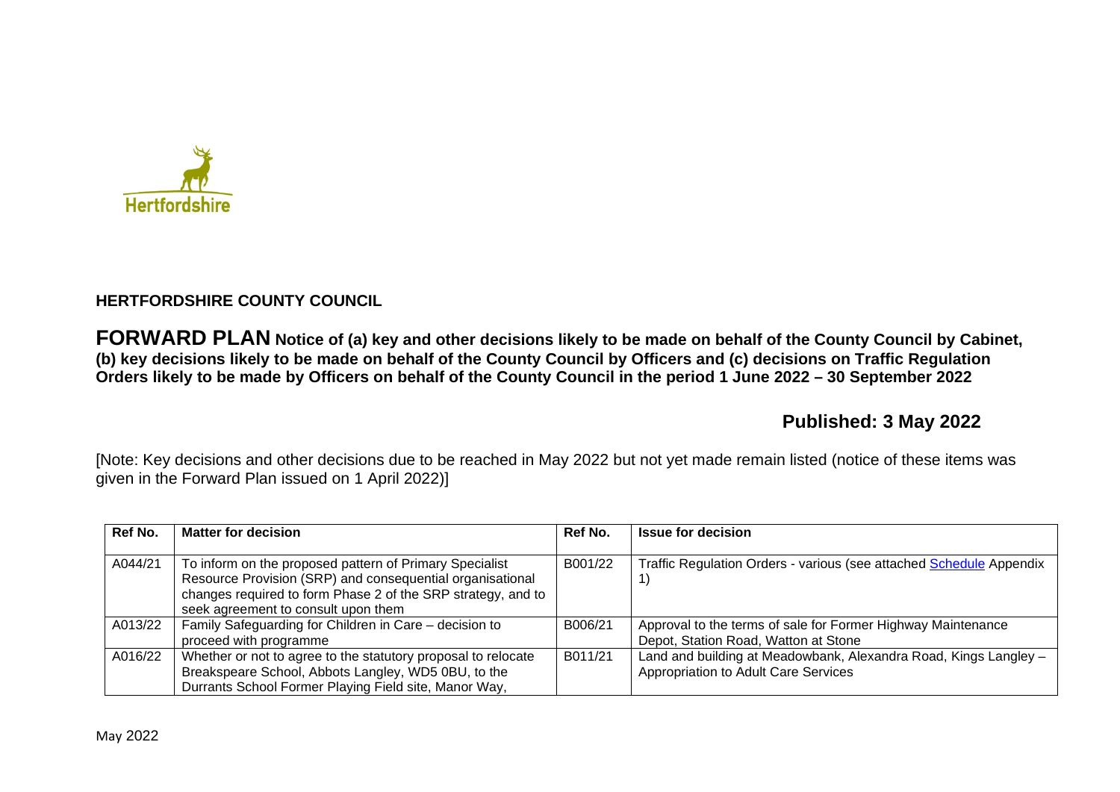

## **HERTFORDSHIRE COUNTY COUNCIL**

**FORWARD PLAN Notice of (a) key and other decisions likely to be made on behalf of the County Council by Cabinet, (b) key decisions likely to be made on behalf of the County Council by Officers and (c) decisions on Traffic Regulation Orders likely to be made by Officers on behalf of the County Council in the period 1 June 2022 – 30 September 2022** 

# **Published: 3 May 2022**

[Note: Key decisions and other decisions due to be reached in May 2022 but not yet made remain listed (notice of these items was given in the Forward Plan issued on 1 April 2022)]

| Ref No. | <b>Matter for decision</b>                                                                                                                                                                                                  | Ref No. | <b>Issue for decision</b>                                                                                |
|---------|-----------------------------------------------------------------------------------------------------------------------------------------------------------------------------------------------------------------------------|---------|----------------------------------------------------------------------------------------------------------|
| A044/21 | To inform on the proposed pattern of Primary Specialist<br>Resource Provision (SRP) and consequential organisational<br>changes required to form Phase 2 of the SRP strategy, and to<br>seek agreement to consult upon them | B001/22 | Traffic Regulation Orders - various (see attached Schedule Appendix                                      |
| A013/22 | Family Safeguarding for Children in Care - decision to<br>proceed with programme                                                                                                                                            | B006/21 | Approval to the terms of sale for Former Highway Maintenance<br>Depot, Station Road, Watton at Stone     |
| A016/22 | Whether or not to agree to the statutory proposal to relocate<br>Breakspeare School, Abbots Langley, WD5 0BU, to the<br>Durrants School Former Playing Field site, Manor Way,                                               | B011/21 | Land and building at Meadowbank, Alexandra Road, Kings Langley -<br>Appropriation to Adult Care Services |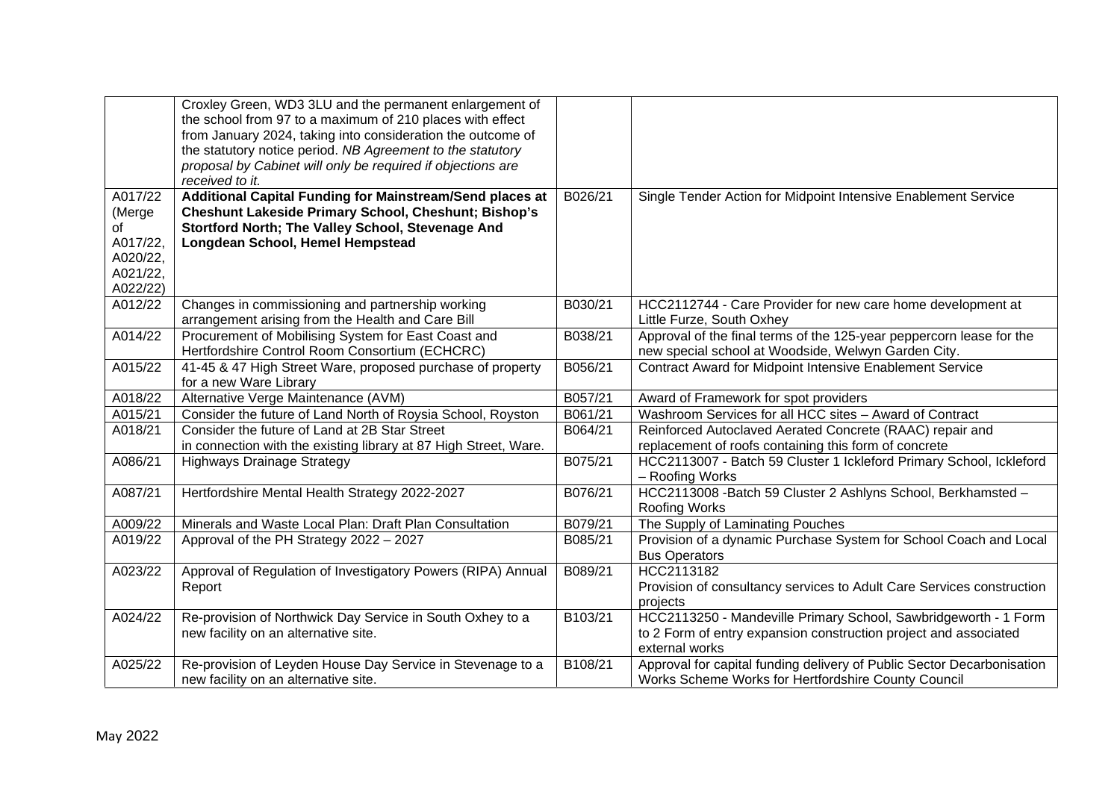|          | Croxley Green, WD3 3LU and the permanent enlargement of          |         |                                                                        |
|----------|------------------------------------------------------------------|---------|------------------------------------------------------------------------|
|          | the school from 97 to a maximum of 210 places with effect        |         |                                                                        |
|          | from January 2024, taking into consideration the outcome of      |         |                                                                        |
|          | the statutory notice period. NB Agreement to the statutory       |         |                                                                        |
|          | proposal by Cabinet will only be required if objections are      |         |                                                                        |
|          | received to it.                                                  |         |                                                                        |
| A017/22  | Additional Capital Funding for Mainstream/Send places at         | B026/21 | Single Tender Action for Midpoint Intensive Enablement Service         |
| (Merge   | <b>Cheshunt Lakeside Primary School, Cheshunt; Bishop's</b>      |         |                                                                        |
| of       | Stortford North; The Valley School, Stevenage And                |         |                                                                        |
| A017/22, | Longdean School, Hemel Hempstead                                 |         |                                                                        |
| A020/22, |                                                                  |         |                                                                        |
| A021/22, |                                                                  |         |                                                                        |
| A022/22) |                                                                  |         |                                                                        |
| A012/22  | Changes in commissioning and partnership working                 | B030/21 | HCC2112744 - Care Provider for new care home development at            |
|          | arrangement arising from the Health and Care Bill                |         | Little Furze, South Oxhey                                              |
| A014/22  | Procurement of Mobilising System for East Coast and              | B038/21 | Approval of the final terms of the 125-year peppercorn lease for the   |
|          | Hertfordshire Control Room Consortium (ECHCRC)                   |         | new special school at Woodside, Welwyn Garden City.                    |
| A015/22  | 41-45 & 47 High Street Ware, proposed purchase of property       | B056/21 | <b>Contract Award for Midpoint Intensive Enablement Service</b>        |
|          | for a new Ware Library                                           |         |                                                                        |
| A018/22  | Alternative Verge Maintenance (AVM)                              | B057/21 | Award of Framework for spot providers                                  |
| A015/21  | Consider the future of Land North of Roysia School, Royston      | B061/21 | Washroom Services for all HCC sites - Award of Contract                |
| A018/21  | Consider the future of Land at 2B Star Street                    | B064/21 | Reinforced Autoclaved Aerated Concrete (RAAC) repair and               |
|          | in connection with the existing library at 87 High Street, Ware. |         | replacement of roofs containing this form of concrete                  |
| A086/21  | <b>Highways Drainage Strategy</b>                                | B075/21 | HCC2113007 - Batch 59 Cluster 1 Ickleford Primary School, Ickleford    |
|          |                                                                  |         | - Roofing Works                                                        |
| A087/21  | Hertfordshire Mental Health Strategy 2022-2027                   | B076/21 | HCC2113008 - Batch 59 Cluster 2 Ashlyns School, Berkhamsted -          |
|          |                                                                  |         | Roofing Works                                                          |
| A009/22  | Minerals and Waste Local Plan: Draft Plan Consultation           | B079/21 | The Supply of Laminating Pouches                                       |
| A019/22  | Approval of the PH Strategy 2022 - 2027                          | B085/21 | Provision of a dynamic Purchase System for School Coach and Local      |
|          |                                                                  |         | <b>Bus Operators</b>                                                   |
| A023/22  | Approval of Regulation of Investigatory Powers (RIPA) Annual     | B089/21 | HCC2113182                                                             |
|          | Report                                                           |         | Provision of consultancy services to Adult Care Services construction  |
|          |                                                                  |         | projects                                                               |
| A024/22  | Re-provision of Northwick Day Service in South Oxhey to a        | B103/21 | HCC2113250 - Mandeville Primary School, Sawbridgeworth - 1 Form        |
|          | new facility on an alternative site.                             |         | to 2 Form of entry expansion construction project and associated       |
|          |                                                                  |         | external works                                                         |
| A025/22  | Re-provision of Leyden House Day Service in Stevenage to a       | B108/21 | Approval for capital funding delivery of Public Sector Decarbonisation |
|          | new facility on an alternative site.                             |         | Works Scheme Works for Hertfordshire County Council                    |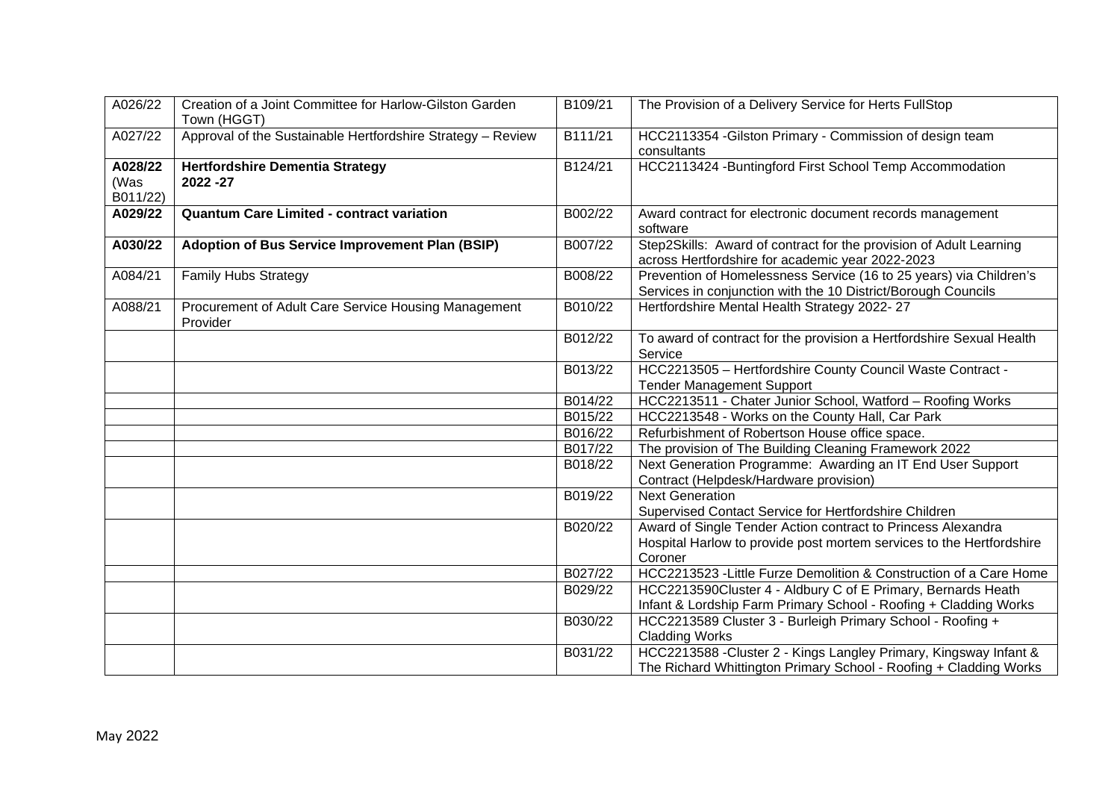| A026/22                     | Creation of a Joint Committee for Harlow-Gilston Garden<br>Town (HGGT) | B109/21 | The Provision of a Delivery Service for Herts FullStop                                                                              |
|-----------------------------|------------------------------------------------------------------------|---------|-------------------------------------------------------------------------------------------------------------------------------------|
| A027/22                     | Approval of the Sustainable Hertfordshire Strategy - Review            | B111/21 | HCC2113354 - Gilston Primary - Commission of design team<br>consultants                                                             |
| A028/22<br>(Was<br>B011/22) | <b>Hertfordshire Dementia Strategy</b><br>2022 - 27                    | B124/21 | HCC2113424 - Buntingford First School Temp Accommodation                                                                            |
| A029/22                     | <b>Quantum Care Limited - contract variation</b>                       | B002/22 | Award contract for electronic document records management<br>software                                                               |
| A030/22                     | Adoption of Bus Service Improvement Plan (BSIP)                        | B007/22 | Step2Skills: Award of contract for the provision of Adult Learning<br>across Hertfordshire for academic year 2022-2023              |
| A084/21                     | <b>Family Hubs Strategy</b>                                            | B008/22 | Prevention of Homelessness Service (16 to 25 years) via Children's<br>Services in conjunction with the 10 District/Borough Councils |
| A088/21                     | Procurement of Adult Care Service Housing Management<br>Provider       | B010/22 | Hertfordshire Mental Health Strategy 2022-27                                                                                        |
|                             |                                                                        | B012/22 | To award of contract for the provision a Hertfordshire Sexual Health<br>Service                                                     |
|                             |                                                                        | B013/22 | HCC2213505 - Hertfordshire County Council Waste Contract -<br><b>Tender Management Support</b>                                      |
|                             |                                                                        | B014/22 | HCC2213511 - Chater Junior School, Watford - Roofing Works                                                                          |
|                             |                                                                        | B015/22 | HCC2213548 - Works on the County Hall, Car Park                                                                                     |
|                             |                                                                        | B016/22 | Refurbishment of Robertson House office space.                                                                                      |
|                             |                                                                        | B017/22 | The provision of The Building Cleaning Framework 2022                                                                               |
|                             |                                                                        | B018/22 | Next Generation Programme: Awarding an IT End User Support<br>Contract (Helpdesk/Hardware provision)                                |
|                             |                                                                        | B019/22 | <b>Next Generation</b><br>Supervised Contact Service for Hertfordshire Children                                                     |
|                             |                                                                        | B020/22 | Award of Single Tender Action contract to Princess Alexandra                                                                        |
|                             |                                                                        |         | Hospital Harlow to provide post mortem services to the Hertfordshire                                                                |
|                             |                                                                        |         | Coroner                                                                                                                             |
|                             |                                                                        | B027/22 | HCC2213523 - Little Furze Demolition & Construction of a Care Home                                                                  |
|                             |                                                                        | B029/22 | HCC2213590Cluster 4 - Aldbury C of E Primary, Bernards Heath                                                                        |
|                             |                                                                        |         | Infant & Lordship Farm Primary School - Roofing + Cladding Works                                                                    |
|                             |                                                                        | B030/22 | HCC2213589 Cluster 3 - Burleigh Primary School - Roofing +                                                                          |
|                             |                                                                        |         | <b>Cladding Works</b>                                                                                                               |
|                             |                                                                        | B031/22 | HCC2213588 - Cluster 2 - Kings Langley Primary, Kingsway Infant &                                                                   |
|                             |                                                                        |         | The Richard Whittington Primary School - Roofing + Cladding Works                                                                   |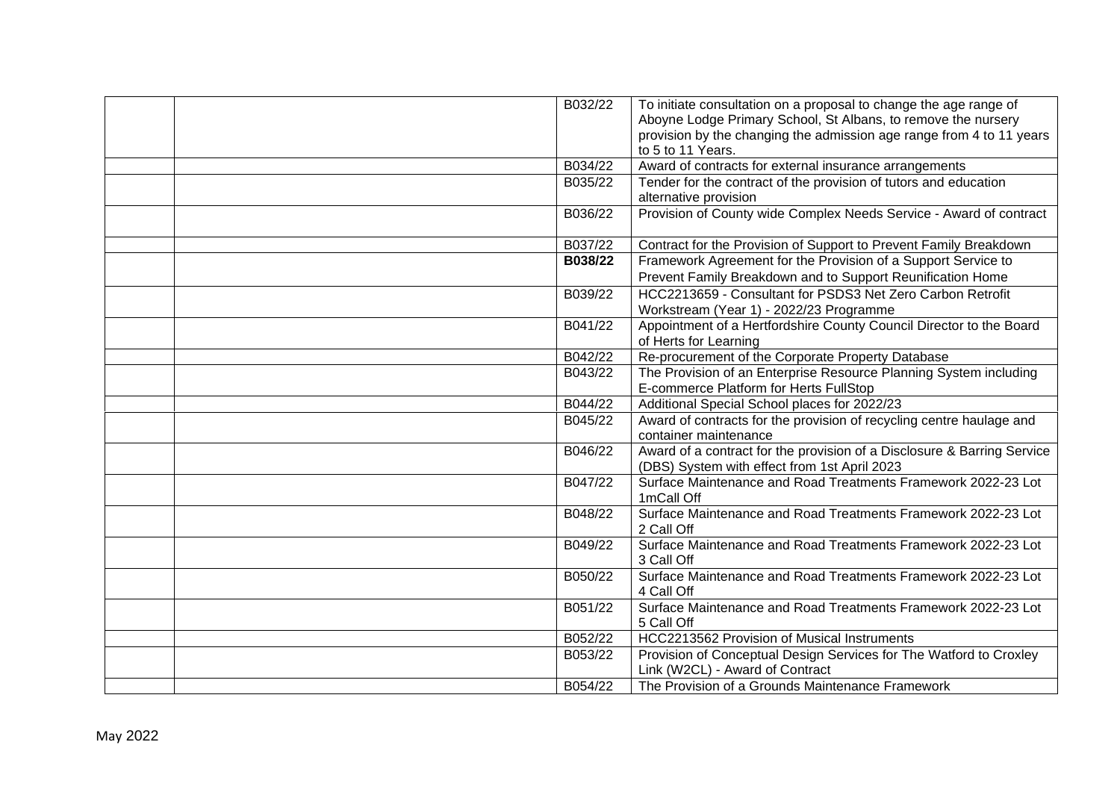| B032/22            | To initiate consultation on a proposal to change the age range of                                                 |
|--------------------|-------------------------------------------------------------------------------------------------------------------|
|                    | Aboyne Lodge Primary School, St Albans, to remove the nursery                                                     |
|                    | provision by the changing the admission age range from 4 to 11 years                                              |
|                    | to 5 to 11 Years.                                                                                                 |
| B034/22            | Award of contracts for external insurance arrangements                                                            |
| B035/22            | Tender for the contract of the provision of tutors and education                                                  |
|                    | alternative provision                                                                                             |
| B036/22            | Provision of County wide Complex Needs Service - Award of contract                                                |
| B037/22            | Contract for the Provision of Support to Prevent Family Breakdown                                                 |
| B038/22            | Framework Agreement for the Provision of a Support Service to                                                     |
|                    | Prevent Family Breakdown and to Support Reunification Home                                                        |
| B039/22            | HCC2213659 - Consultant for PSDS3 Net Zero Carbon Retrofit                                                        |
|                    | Workstream (Year 1) - 2022/23 Programme                                                                           |
| B041/22            | Appointment of a Hertfordshire County Council Director to the Board                                               |
|                    | of Herts for Learning                                                                                             |
| B042/22            | Re-procurement of the Corporate Property Database                                                                 |
| B043/22            | The Provision of an Enterprise Resource Planning System including                                                 |
|                    | E-commerce Platform for Herts FullStop                                                                            |
| B044/22            | Additional Special School places for 2022/23                                                                      |
| B045/22            | Award of contracts for the provision of recycling centre haulage and                                              |
|                    | container maintenance                                                                                             |
| B046/22            | Award of a contract for the provision of a Disclosure & Barring Service                                           |
|                    | (DBS) System with effect from 1st April 2023                                                                      |
| B047/22            | Surface Maintenance and Road Treatments Framework 2022-23 Lot                                                     |
|                    | 1mCall Off                                                                                                        |
| B048/22            | Surface Maintenance and Road Treatments Framework 2022-23 Lot                                                     |
|                    | 2 Call Off                                                                                                        |
| B049/22            | Surface Maintenance and Road Treatments Framework 2022-23 Lot                                                     |
|                    | 3 Call Off                                                                                                        |
| B050/22            | Surface Maintenance and Road Treatments Framework 2022-23 Lot                                                     |
|                    | 4 Call Off                                                                                                        |
| B051/22            | Surface Maintenance and Road Treatments Framework 2022-23 Lot                                                     |
|                    | 5 Call Off                                                                                                        |
| B052/22<br>B053/22 | HCC2213562 Provision of Musical Instruments<br>Provision of Conceptual Design Services for The Watford to Croxley |
|                    |                                                                                                                   |
|                    | Link (W2CL) - Award of Contract                                                                                   |
| B054/22            | The Provision of a Grounds Maintenance Framework                                                                  |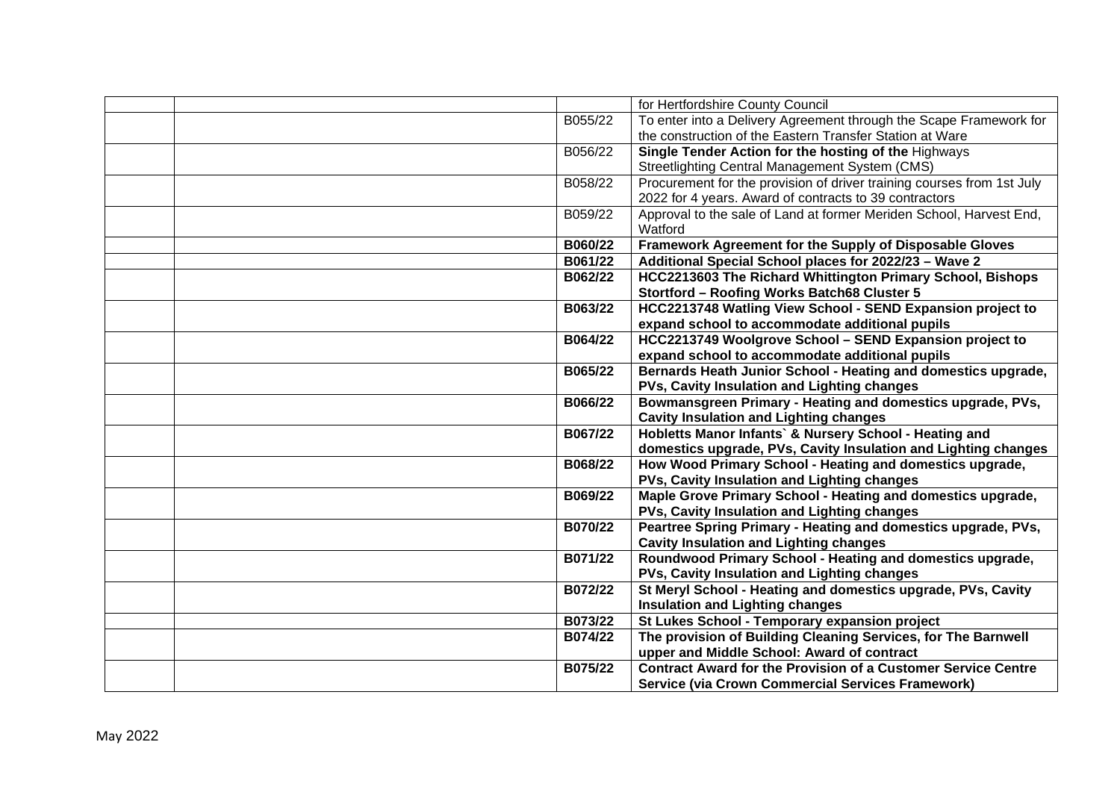|         | for Hertfordshire County Council                                       |
|---------|------------------------------------------------------------------------|
| B055/22 | To enter into a Delivery Agreement through the Scape Framework for     |
|         | the construction of the Eastern Transfer Station at Ware               |
| B056/22 | Single Tender Action for the hosting of the Highways                   |
|         | Streetlighting Central Management System (CMS)                         |
| B058/22 | Procurement for the provision of driver training courses from 1st July |
|         | 2022 for 4 years. Award of contracts to 39 contractors                 |
| B059/22 | Approval to the sale of Land at former Meriden School, Harvest End,    |
|         | Watford                                                                |
| B060/22 | Framework Agreement for the Supply of Disposable Gloves                |
| B061/22 | Additional Special School places for 2022/23 - Wave 2                  |
| B062/22 | HCC2213603 The Richard Whittington Primary School, Bishops             |
|         | Stortford - Roofing Works Batch68 Cluster 5                            |
| B063/22 | HCC2213748 Watling View School - SEND Expansion project to             |
|         | expand school to accommodate additional pupils                         |
| B064/22 | HCC2213749 Woolgrove School - SEND Expansion project to                |
|         | expand school to accommodate additional pupils                         |
| B065/22 | Bernards Heath Junior School - Heating and domestics upgrade,          |
|         | PVs, Cavity Insulation and Lighting changes                            |
| B066/22 | Bowmansgreen Primary - Heating and domestics upgrade, PVs,             |
|         | <b>Cavity Insulation and Lighting changes</b>                          |
| B067/22 | Hobletts Manor Infants` & Nursery School - Heating and                 |
|         | domestics upgrade, PVs, Cavity Insulation and Lighting changes         |
| B068/22 | How Wood Primary School - Heating and domestics upgrade,               |
|         | PVs, Cavity Insulation and Lighting changes                            |
| B069/22 | Maple Grove Primary School - Heating and domestics upgrade,            |
|         | PVs, Cavity Insulation and Lighting changes                            |
| B070/22 | Peartree Spring Primary - Heating and domestics upgrade, PVs,          |
|         | <b>Cavity Insulation and Lighting changes</b>                          |
| B071/22 | Roundwood Primary School - Heating and domestics upgrade,              |
|         | PVs, Cavity Insulation and Lighting changes                            |
| B072/22 | St Meryl School - Heating and domestics upgrade, PVs, Cavity           |
|         | <b>Insulation and Lighting changes</b>                                 |
| B073/22 | St Lukes School - Temporary expansion project                          |
| B074/22 | The provision of Building Cleaning Services, for The Barnwell          |
|         | upper and Middle School: Award of contract                             |
| B075/22 | <b>Contract Award for the Provision of a Customer Service Centre</b>   |
|         | <b>Service (via Crown Commercial Services Framework)</b>               |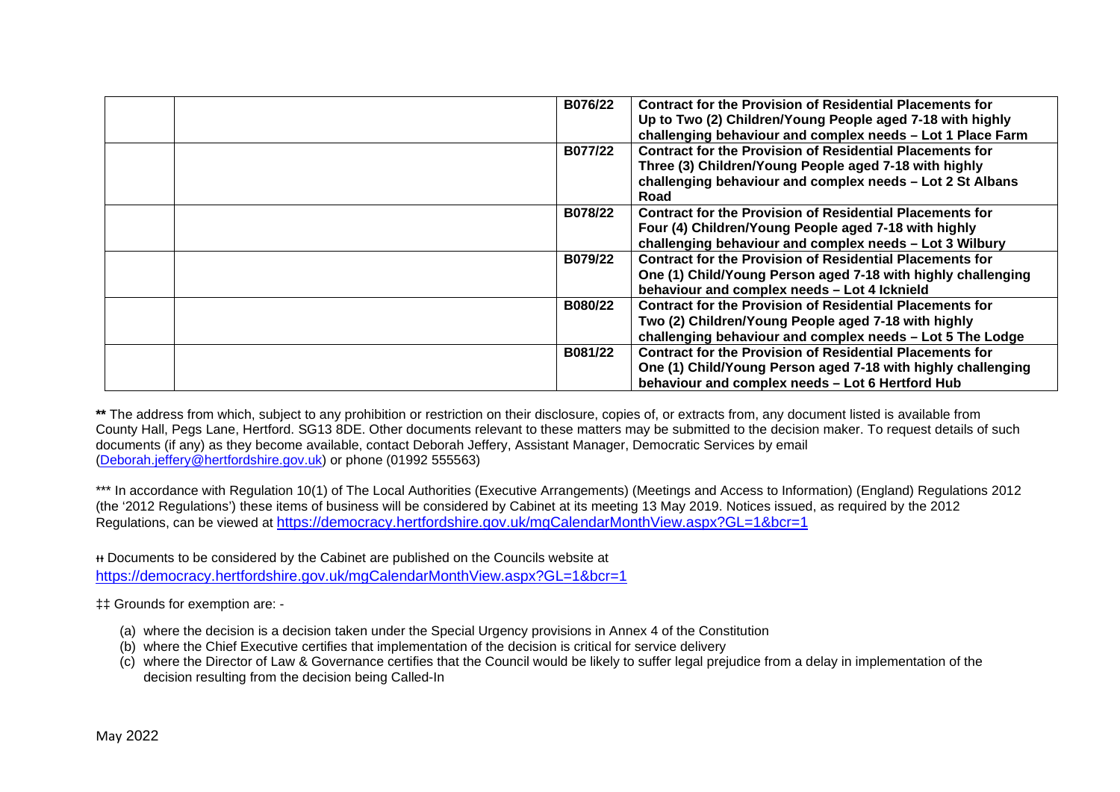| B076/22 | <b>Contract for the Provision of Residential Placements for</b><br>Up to Two (2) Children/Young People aged 7-18 with highly<br>challenging behaviour and complex needs - Lot 1 Place Farm    |
|---------|-----------------------------------------------------------------------------------------------------------------------------------------------------------------------------------------------|
| B077/22 | <b>Contract for the Provision of Residential Placements for</b><br>Three (3) Children/Young People aged 7-18 with highly<br>challenging behaviour and complex needs - Lot 2 St Albans<br>Road |
| B078/22 | <b>Contract for the Provision of Residential Placements for</b><br>Four (4) Children/Young People aged 7-18 with highly<br>challenging behaviour and complex needs - Lot 3 Wilbury            |
| B079/22 | <b>Contract for the Provision of Residential Placements for</b><br>One (1) Child/Young Person aged 7-18 with highly challenging<br>behaviour and complex needs - Lot 4 lcknield               |
| B080/22 | <b>Contract for the Provision of Residential Placements for</b><br>Two (2) Children/Young People aged 7-18 with highly<br>challenging behaviour and complex needs - Lot 5 The Lodge           |
| B081/22 | <b>Contract for the Provision of Residential Placements for</b><br>One (1) Child/Young Person aged 7-18 with highly challenging<br>behaviour and complex needs - Lot 6 Hertford Hub           |

**\*\*** The address from which, subject to any prohibition or restriction on their disclosure, copies of, or extracts from, any document listed is available from County Hall, Pegs Lane, Hertford. SG13 8DE. Other documents relevant to these matters may be submitted to the decision maker. To request details of such documents (if any) as they become available, contact Deborah Jeffery, Assistant Manager, Democratic Services by email [\(Deborah.jeffery@hertfordshire.gov.uk\)](mailto:Deborah.jeffery@hertfordshire.gov.uk) or phone (01992 555563)

\*\*\* In accordance with Regulation 10(1) of The Local Authorities (Executive Arrangements) (Meetings and Access to Information) (England) Regulations 2012 (the '2012 Regulations') these items of business will be considered by Cabinet at its meeting 13 May 2019. Notices issued, as required by the 2012 Regulations, can be viewed at <https://democracy.hertfordshire.gov.uk/mgCalendarMonthView.aspx?GL=1&bcr=1>

ᵻᵻ Documents to be considered by the Cabinet are published on the Councils website at <https://democracy.hertfordshire.gov.uk/mgCalendarMonthView.aspx?GL=1&bcr=1>

‡‡ Grounds for exemption are: -

- (a) where the decision is a decision taken under the Special Urgency provisions in Annex 4 of the Constitution
- (b) where the Chief Executive certifies that implementation of the decision is critical for service delivery
- $\overline{c}$ ) where the Director of Law & Governance certifies that the Council would be likely to suffer legal prejudice from a delay in implementation of the decision resulting from the decision being Called-In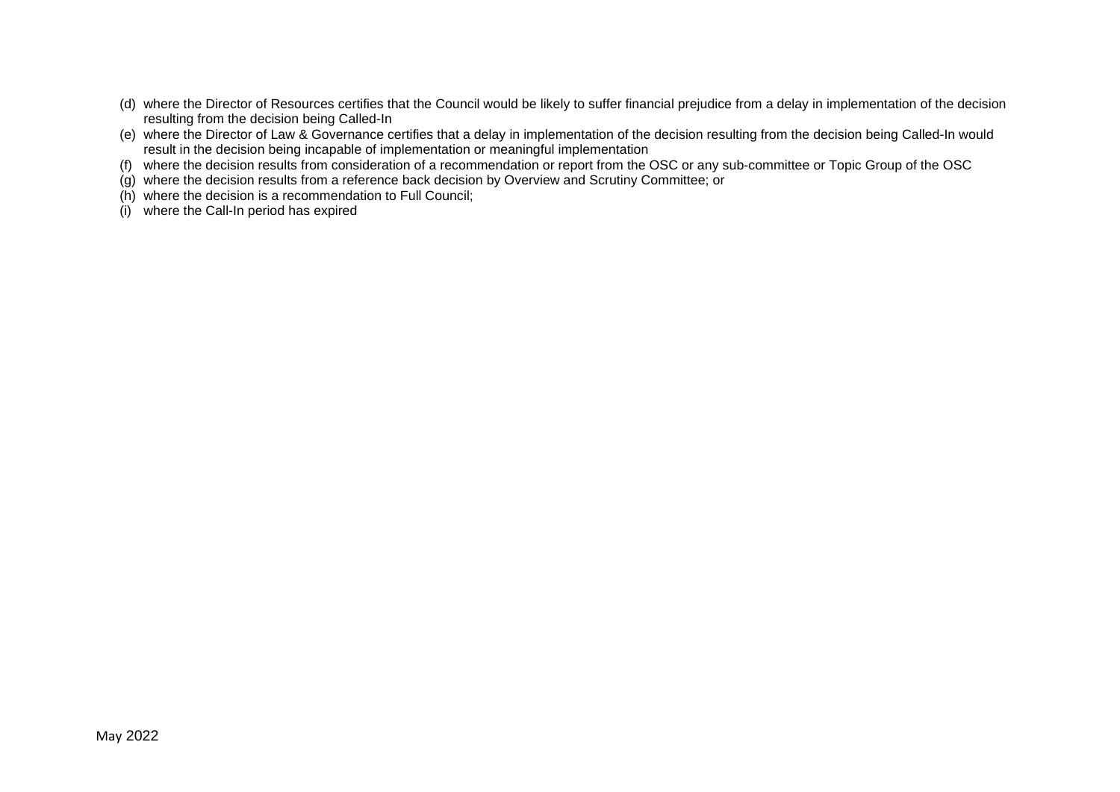- (d) where the Director of Resources certifies that the Council would be likely to suffer financial prejudice from a delay in implementation of the decision resulting from the decision being Called-In
- (e) where the Director of Law & Governance certifies that a delay in implementation of the decision resulting from the decision being Called-In would result in the decision being incapable of implementation or meaningful implementation
- (f) where the decision results from consideration of a recommendation or report from the OSC or any sub-committee or Topic Group of the OSC
- (g) where the decision results from a reference back decision by Overview and Scrutiny Committee; or
- (h) where the decision is a recommendation to Full Council;
- (i) where the Call-In period has expired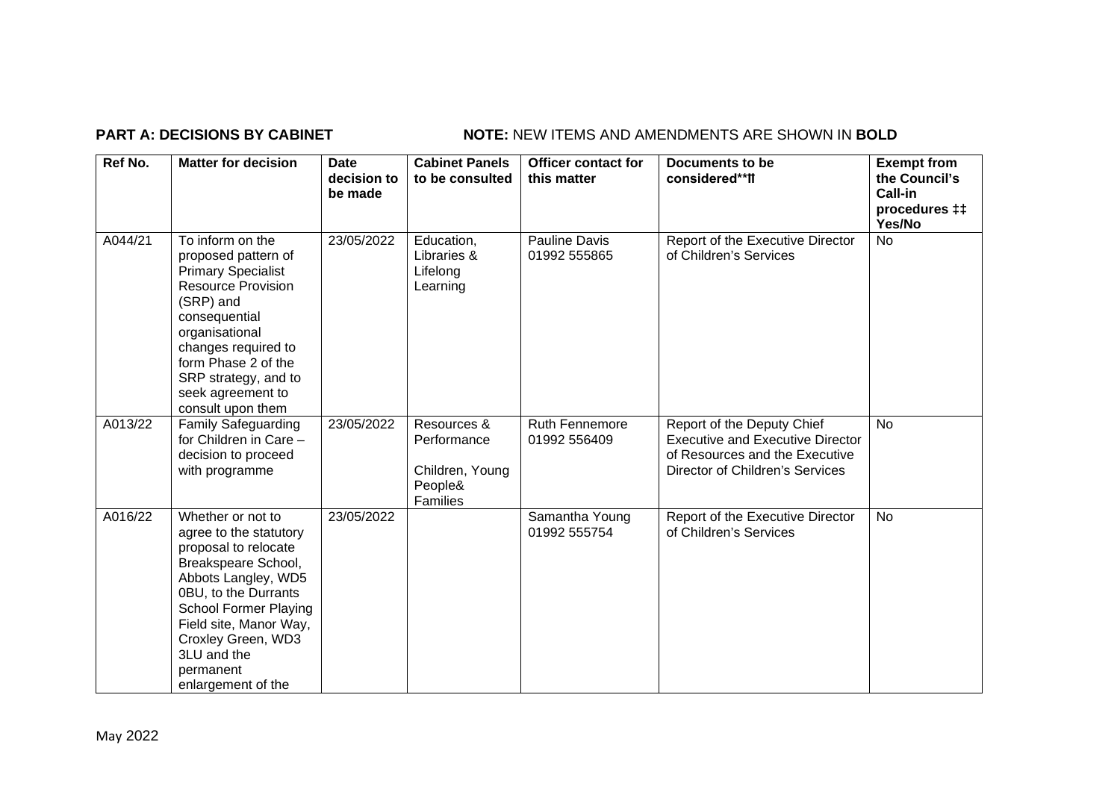### **PART A: DECISIONS BY CABINET NOTE:** NEW ITEMS AND AMENDMENTS ARE SHOWN IN BOLD

| Ref No. | <b>Matter for decision</b>                                                                                                                                                                                                                                                  | <b>Date</b><br>decision to<br>be made | <b>Cabinet Panels</b><br>to be consulted                             | <b>Officer contact for</b><br>this matter | Documents to be<br>considered**II                                                                                                          | <b>Exempt from</b><br>the Council's<br>Call-in<br>procedures <sub>#</sub><br>Yes/No |
|---------|-----------------------------------------------------------------------------------------------------------------------------------------------------------------------------------------------------------------------------------------------------------------------------|---------------------------------------|----------------------------------------------------------------------|-------------------------------------------|--------------------------------------------------------------------------------------------------------------------------------------------|-------------------------------------------------------------------------------------|
| A044/21 | To inform on the<br>proposed pattern of<br><b>Primary Specialist</b><br><b>Resource Provision</b><br>(SRP) and<br>consequential<br>organisational<br>changes required to<br>form Phase 2 of the<br>SRP strategy, and to<br>seek agreement to<br>consult upon them           | 23/05/2022                            | Education,<br>Libraries &<br>Lifelong<br>Learning                    | <b>Pauline Davis</b><br>01992 555865      | Report of the Executive Director<br>of Children's Services                                                                                 | No                                                                                  |
| A013/22 | <b>Family Safeguarding</b><br>for Children in Care -<br>decision to proceed<br>with programme                                                                                                                                                                               | 23/05/2022                            | Resources &<br>Performance<br>Children, Young<br>People&<br>Families | Ruth Fennemore<br>01992 556409            | Report of the Deputy Chief<br><b>Executive and Executive Director</b><br>of Resources and the Executive<br>Director of Children's Services | <b>No</b>                                                                           |
| A016/22 | Whether or not to<br>agree to the statutory<br>proposal to relocate<br>Breakspeare School,<br>Abbots Langley, WD5<br>0BU, to the Durrants<br><b>School Former Playing</b><br>Field site, Manor Way,<br>Croxley Green, WD3<br>3LU and the<br>permanent<br>enlargement of the | 23/05/2022                            |                                                                      | Samantha Young<br>01992 555754            | Report of the Executive Director<br>of Children's Services                                                                                 | <b>No</b>                                                                           |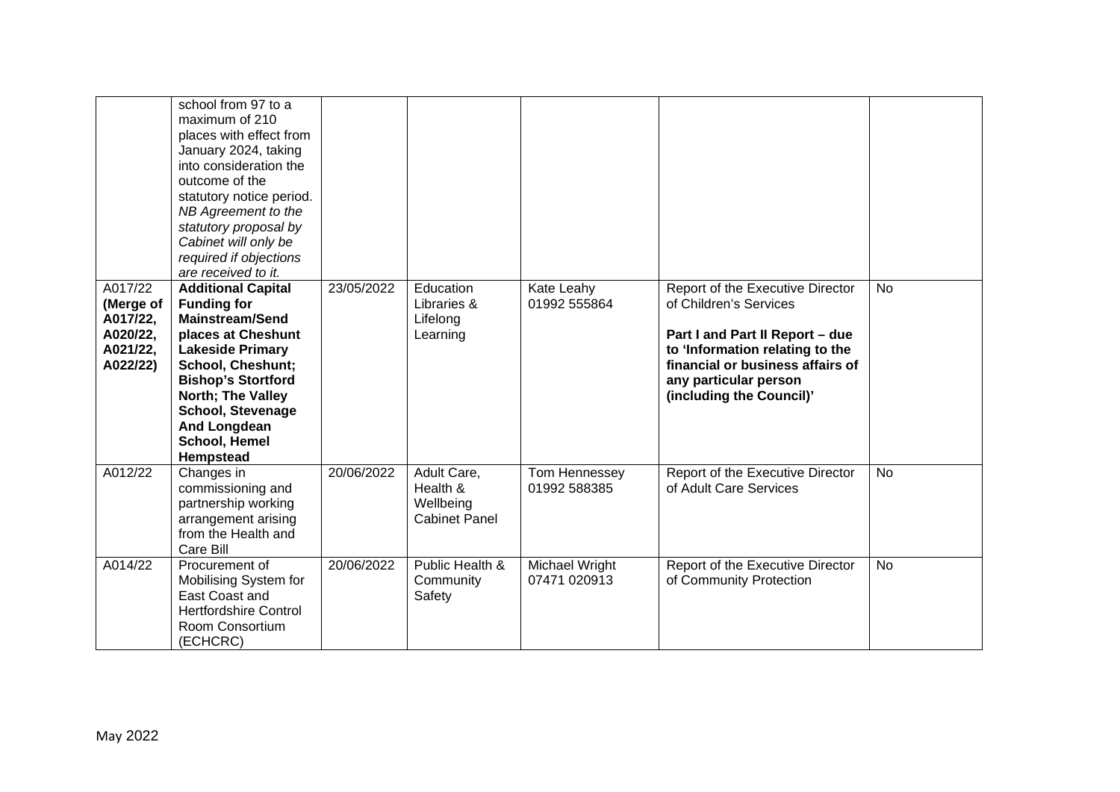|                                                                      | school from 97 to a<br>maximum of 210<br>places with effect from<br>January 2024, taking<br>into consideration the<br>outcome of the<br>statutory notice period.<br>NB Agreement to the<br>statutory proposal by<br>Cabinet will only be<br>required if objections                                               |            |                                                              |                                |                                                                                                                                                                                                                           |           |
|----------------------------------------------------------------------|------------------------------------------------------------------------------------------------------------------------------------------------------------------------------------------------------------------------------------------------------------------------------------------------------------------|------------|--------------------------------------------------------------|--------------------------------|---------------------------------------------------------------------------------------------------------------------------------------------------------------------------------------------------------------------------|-----------|
| A017/22<br>(Merge of<br>A017/22,<br>A020/22,<br>A021/22,<br>A022/22) | are received to it.<br><b>Additional Capital</b><br><b>Funding for</b><br><b>Mainstream/Send</b><br>places at Cheshunt<br><b>Lakeside Primary</b><br><b>School, Cheshunt;</b><br><b>Bishop's Stortford</b><br>North; The Valley<br><b>School, Stevenage</b><br><b>And Longdean</b><br>School, Hemel<br>Hempstead | 23/05/2022 | Education<br>Libraries &<br>Lifelong<br>Learning             | Kate Leahy<br>01992 555864     | Report of the Executive Director<br>of Children's Services<br>Part I and Part II Report - due<br>to 'Information relating to the<br>financial or business affairs of<br>any particular person<br>(including the Council)' | <b>No</b> |
| A012/22                                                              | Changes in<br>commissioning and<br>partnership working<br>arrangement arising<br>from the Health and<br>Care Bill                                                                                                                                                                                                | 20/06/2022 | Adult Care,<br>Health &<br>Wellbeing<br><b>Cabinet Panel</b> | Tom Hennessey<br>01992 588385  | Report of the Executive Director<br>of Adult Care Services                                                                                                                                                                | <b>No</b> |
| A014/22                                                              | Procurement of<br>Mobilising System for<br>East Coast and<br><b>Hertfordshire Control</b><br>Room Consortium<br>(ECHCRC)                                                                                                                                                                                         | 20/06/2022 | Public Health &<br>Community<br>Safety                       | Michael Wright<br>07471 020913 | Report of the Executive Director<br>of Community Protection                                                                                                                                                               | <b>No</b> |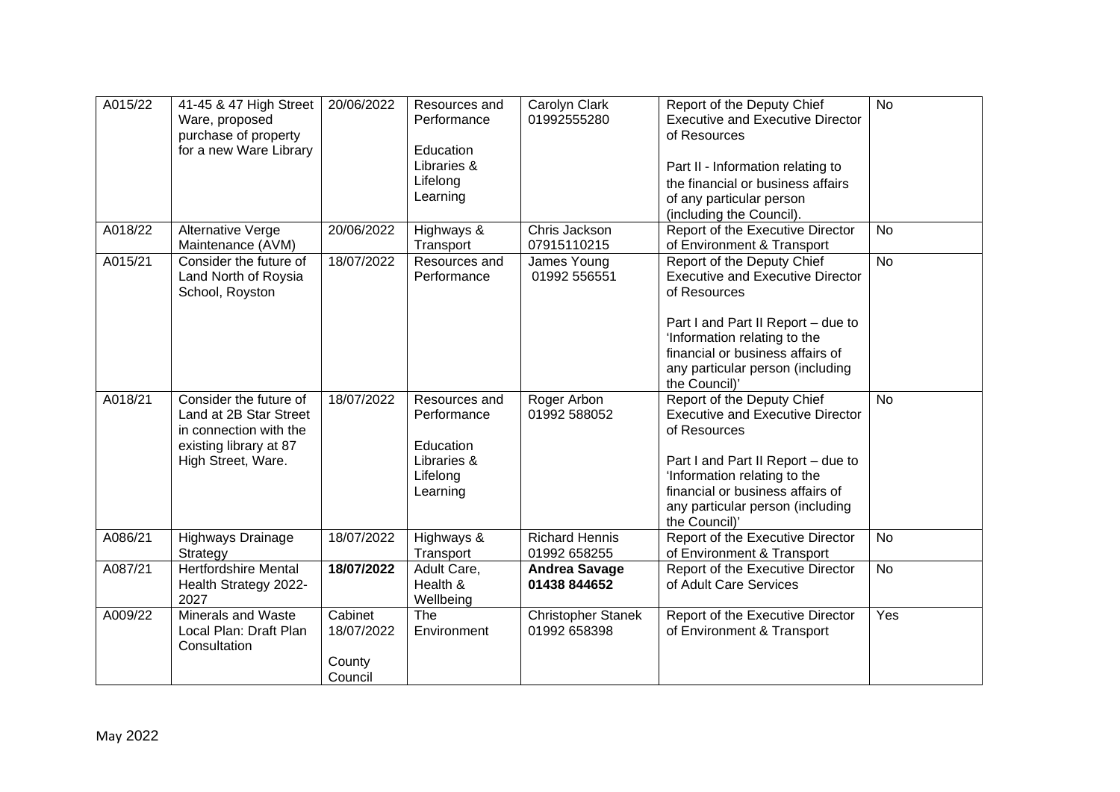| A015/22 | 41-45 & 47 High Street<br>Ware, proposed<br>purchase of property<br>for a new Ware Library                                 | 20/06/2022                                 | Resources and<br>Performance<br>Education<br>Libraries &<br>Lifelong<br>Learning | Carolyn Clark<br>01992555280              | Report of the Deputy Chief<br><b>Executive and Executive Director</b><br>of Resources<br>Part II - Information relating to<br>the financial or business affairs<br>of any particular person<br>(including the Council).                              | <b>No</b>      |
|---------|----------------------------------------------------------------------------------------------------------------------------|--------------------------------------------|----------------------------------------------------------------------------------|-------------------------------------------|------------------------------------------------------------------------------------------------------------------------------------------------------------------------------------------------------------------------------------------------------|----------------|
| A018/22 | Alternative Verge<br>Maintenance (AVM)                                                                                     | 20/06/2022                                 | Highways &<br>Transport                                                          | Chris Jackson<br>07915110215              | Report of the Executive Director<br>of Environment & Transport                                                                                                                                                                                       | <b>No</b>      |
| A015/21 | Consider the future of<br>Land North of Roysia<br>School, Royston                                                          | 18/07/2022                                 | Resources and<br>Performance                                                     | James Young<br>01992 556551               | Report of the Deputy Chief<br><b>Executive and Executive Director</b><br>of Resources<br>Part I and Part II Report - due to<br>'Information relating to the<br>financial or business affairs of<br>any particular person (including<br>the Council)' | <b>No</b>      |
| A018/21 | Consider the future of<br>Land at 2B Star Street<br>in connection with the<br>existing library at 87<br>High Street, Ware. | 18/07/2022                                 | Resources and<br>Performance<br>Education<br>Libraries &<br>Lifelong<br>Learning | Roger Arbon<br>01992 588052               | Report of the Deputy Chief<br><b>Executive and Executive Director</b><br>of Resources<br>Part I and Part II Report - due to<br>'Information relating to the<br>financial or business affairs of<br>any particular person (including<br>the Council)' | <b>No</b>      |
| A086/21 | Highways Drainage<br>Strategy                                                                                              | 18/07/2022                                 | Highways &<br>Transport                                                          | <b>Richard Hennis</b><br>01992 658255     | Report of the Executive Director<br>of Environment & Transport                                                                                                                                                                                       | <b>No</b>      |
| A087/21 | <b>Hertfordshire Mental</b><br>Health Strategy 2022-<br>2027                                                               | 18/07/2022                                 | Adult Care,<br>Health &<br>Wellbeing                                             | <b>Andrea Savage</b><br>01438 844652      | Report of the Executive Director<br>of Adult Care Services                                                                                                                                                                                           | $\overline{N}$ |
| A009/22 | <b>Minerals and Waste</b><br>Local Plan: Draft Plan<br>Consultation                                                        | Cabinet<br>18/07/2022<br>County<br>Council | The<br>Environment                                                               | <b>Christopher Stanek</b><br>01992 658398 | Report of the Executive Director<br>of Environment & Transport                                                                                                                                                                                       | Yes            |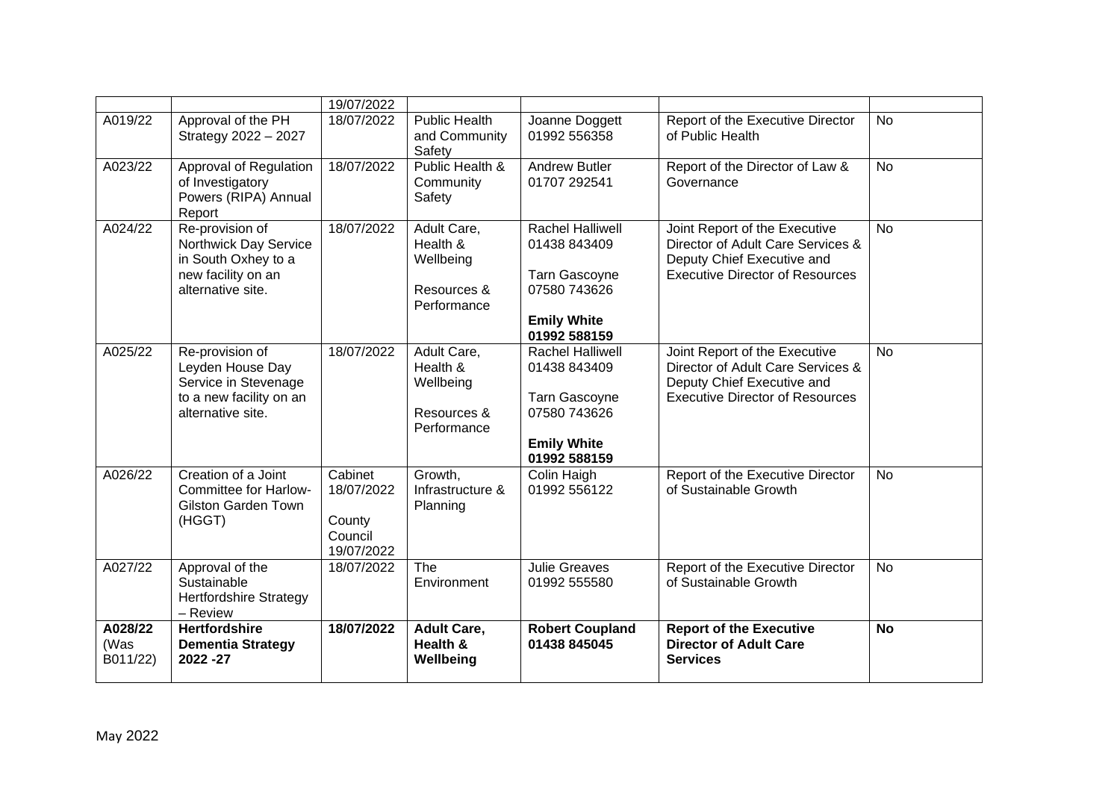|                             |                                                                                                             | 19/07/2022                                               |                                                                    |                                                                                                                       |                                                                                                                                            |           |
|-----------------------------|-------------------------------------------------------------------------------------------------------------|----------------------------------------------------------|--------------------------------------------------------------------|-----------------------------------------------------------------------------------------------------------------------|--------------------------------------------------------------------------------------------------------------------------------------------|-----------|
| A019/22                     | Approval of the PH<br>Strategy 2022 - 2027                                                                  | 18/07/2022                                               | <b>Public Health</b><br>and Community<br>Safety                    | Joanne Doggett<br>01992 556358                                                                                        | Report of the Executive Director<br>of Public Health                                                                                       | <b>No</b> |
| A023/22                     | Approval of Regulation<br>of Investigatory<br>Powers (RIPA) Annual<br>Report                                | 18/07/2022                                               | Public Health &<br>Community<br>Safety                             | <b>Andrew Butler</b><br>01707 292541                                                                                  | Report of the Director of Law &<br>Governance                                                                                              | <b>No</b> |
| A024/22                     | Re-provision of<br>Northwick Day Service<br>in South Oxhey to a<br>new facility on an<br>alternative site.  | 18/07/2022                                               | Adult Care,<br>Health &<br>Wellbeing<br>Resources &<br>Performance | Rachel Halliwell<br>01438 843409<br><b>Tarn Gascoyne</b><br>07580 743626<br><b>Emily White</b><br>01992 588159        | Joint Report of the Executive<br>Director of Adult Care Services &<br>Deputy Chief Executive and<br><b>Executive Director of Resources</b> | <b>No</b> |
| A025/22                     | Re-provision of<br>Leyden House Day<br>Service in Stevenage<br>to a new facility on an<br>alternative site. | 18/07/2022                                               | Adult Care,<br>Health &<br>Wellbeing<br>Resources &<br>Performance | <b>Rachel Halliwell</b><br>01438 843409<br><b>Tarn Gascoyne</b><br>07580 743626<br><b>Emily White</b><br>01992 588159 | Joint Report of the Executive<br>Director of Adult Care Services &<br>Deputy Chief Executive and<br><b>Executive Director of Resources</b> | <b>No</b> |
| A026/22                     | Creation of a Joint<br><b>Committee for Harlow-</b><br><b>Gilston Garden Town</b><br>(HGGT)                 | Cabinet<br>18/07/2022<br>County<br>Council<br>19/07/2022 | Growth,<br>Infrastructure &<br>Planning                            | Colin Haigh<br>01992 556122                                                                                           | Report of the Executive Director<br>of Sustainable Growth                                                                                  | <b>No</b> |
| A027/22                     | Approval of the<br>Sustainable<br><b>Hertfordshire Strategy</b><br>- Review                                 | 18/07/2022                                               | The<br>Environment                                                 | <b>Julie Greaves</b><br>01992 555580                                                                                  | Report of the Executive Director<br>of Sustainable Growth                                                                                  | <b>No</b> |
| A028/22<br>(Was<br>B011/22) | <b>Hertfordshire</b><br><b>Dementia Strategy</b><br>2022 - 27                                               | 18/07/2022                                               | <b>Adult Care,</b><br>Health &<br>Wellbeing                        | <b>Robert Coupland</b><br>01438 845045                                                                                | <b>Report of the Executive</b><br><b>Director of Adult Care</b><br><b>Services</b>                                                         | <b>No</b> |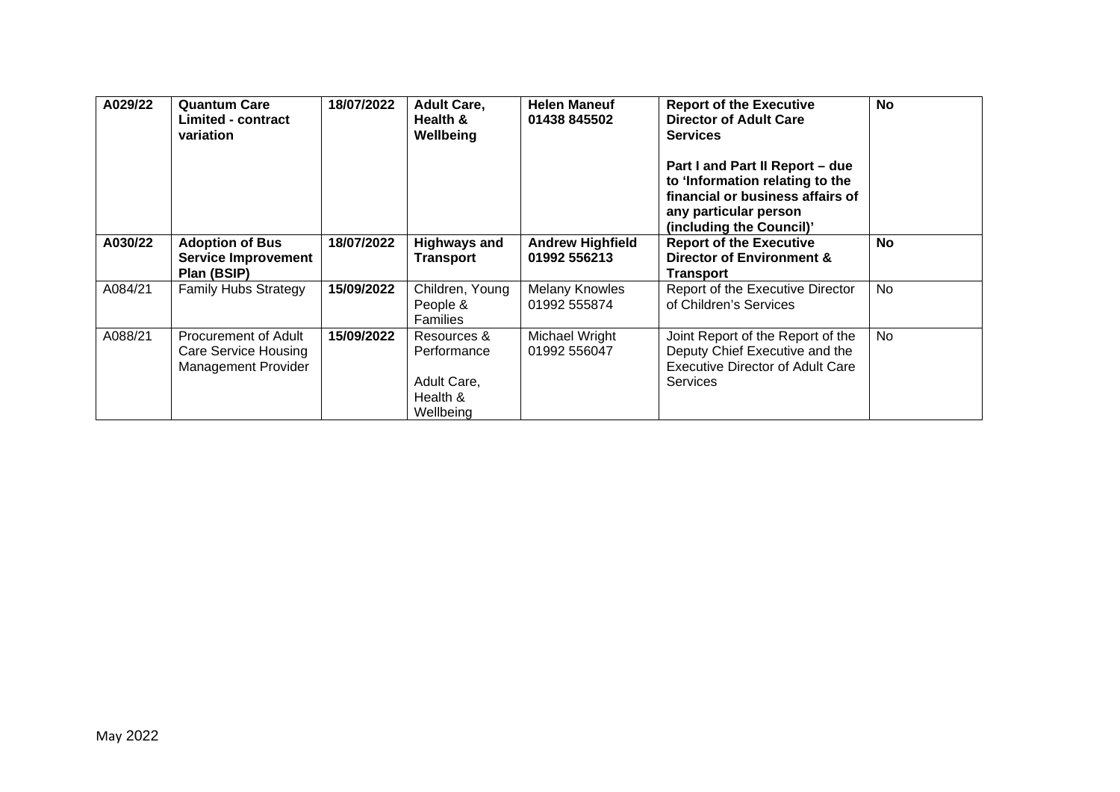| A029/22 | <b>Quantum Care</b><br><b>Limited - contract</b><br>variation              | 18/07/2022 | <b>Adult Care,</b><br>Health &<br>Wellbeing                        | <b>Helen Maneuf</b><br>01438 845502     | <b>Report of the Executive</b><br><b>Director of Adult Care</b><br><b>Services</b><br>Part I and Part II Report - due<br>to 'Information relating to the<br>financial or business affairs of<br>any particular person<br>(including the Council)' | <b>No</b> |
|---------|----------------------------------------------------------------------------|------------|--------------------------------------------------------------------|-----------------------------------------|---------------------------------------------------------------------------------------------------------------------------------------------------------------------------------------------------------------------------------------------------|-----------|
| A030/22 | <b>Adoption of Bus</b><br><b>Service Improvement</b><br>Plan (BSIP)        | 18/07/2022 | <b>Highways and</b><br>Transport                                   | <b>Andrew Highfield</b><br>01992 556213 | <b>Report of the Executive</b><br>Director of Environment &<br><b>Transport</b>                                                                                                                                                                   | <b>No</b> |
| A084/21 | <b>Family Hubs Strategy</b>                                                | 15/09/2022 | Children, Young<br>People &<br><b>Families</b>                     | <b>Melany Knowles</b><br>01992 555874   | Report of the Executive Director<br>of Children's Services                                                                                                                                                                                        | <b>No</b> |
| A088/21 | Procurement of Adult<br>Care Service Housing<br><b>Management Provider</b> | 15/09/2022 | Resources &<br>Performance<br>Adult Care,<br>Health &<br>Wellbeing | Michael Wright<br>01992 556047          | Joint Report of the Report of the<br>Deputy Chief Executive and the<br><b>Executive Director of Adult Care</b><br><b>Services</b>                                                                                                                 | <b>No</b> |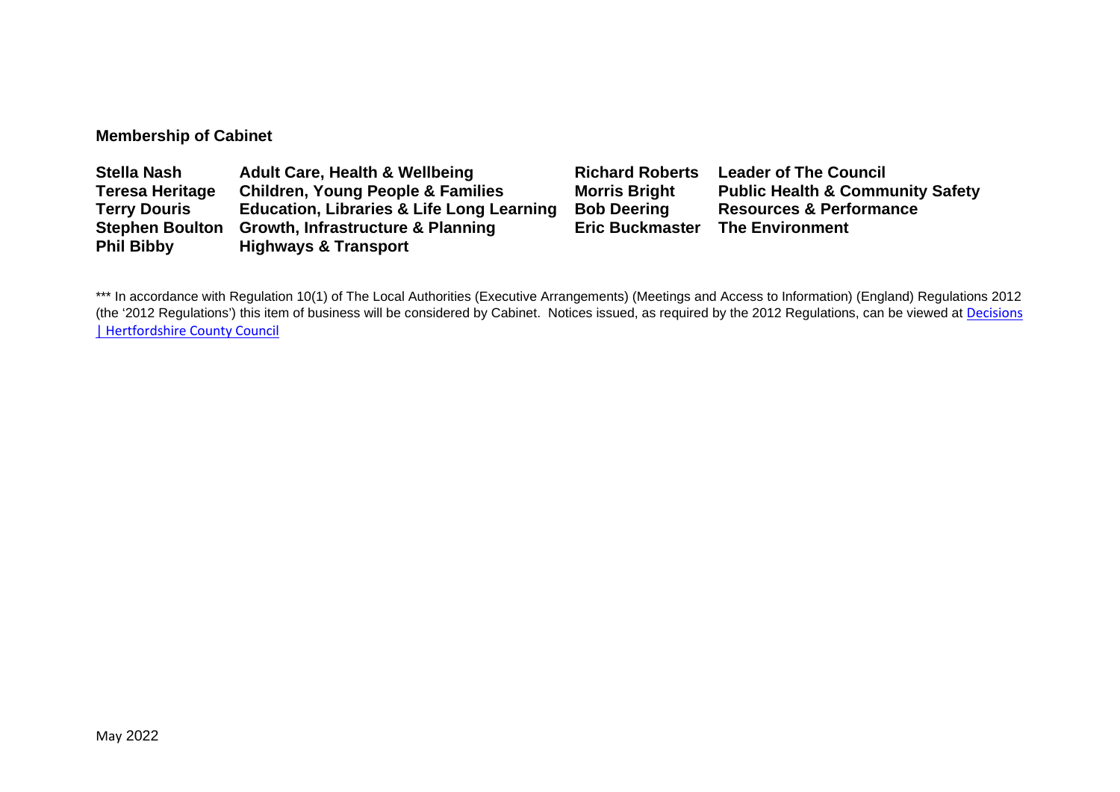### **Membership of Cabinet**

| <b>Stella Nash</b>     | <b>Adult Care, Health &amp; Wellbeing</b>            | <b>Richard Roberts</b> | <b>Leader of The Council</b>                |
|------------------------|------------------------------------------------------|------------------------|---------------------------------------------|
| <b>Teresa Heritage</b> | <b>Children, Young People &amp; Families</b>         | <b>Morris Bright</b>   | <b>Public Health &amp; Community Safety</b> |
| <b>Terry Douris</b>    | <b>Education, Libraries &amp; Life Long Learning</b> | <b>Bob Deering</b>     | <b>Resources &amp; Performance</b>          |
| <b>Stephen Boulton</b> | <b>Growth, Infrastructure &amp; Planning</b>         | <b>Eric Buckmaster</b> | <b>The Environment</b>                      |
| <b>Phil Bibby</b>      | <b>Highways &amp; Transport</b>                      |                        |                                             |

\*\*\* In accordance with Regulation 10(1) of The Local Authorities (Executive Arrangements) (Meetings and Access to Information) (England) Regulations 2012 (the '2012 Regulations') this item of business will be considered by Cabinet. Notices issued, as required by the 2012 Regulations, can be viewed at Decisions [| Hertfordshire County Council](https://www.hertfordshire.gov.uk/About-the-council/freedom-of-information-and-council-data/Open-Data-Statistics-about-Hertfordshire/How-we-make-decisions/Decisions/Decisions.aspx#keydecisions)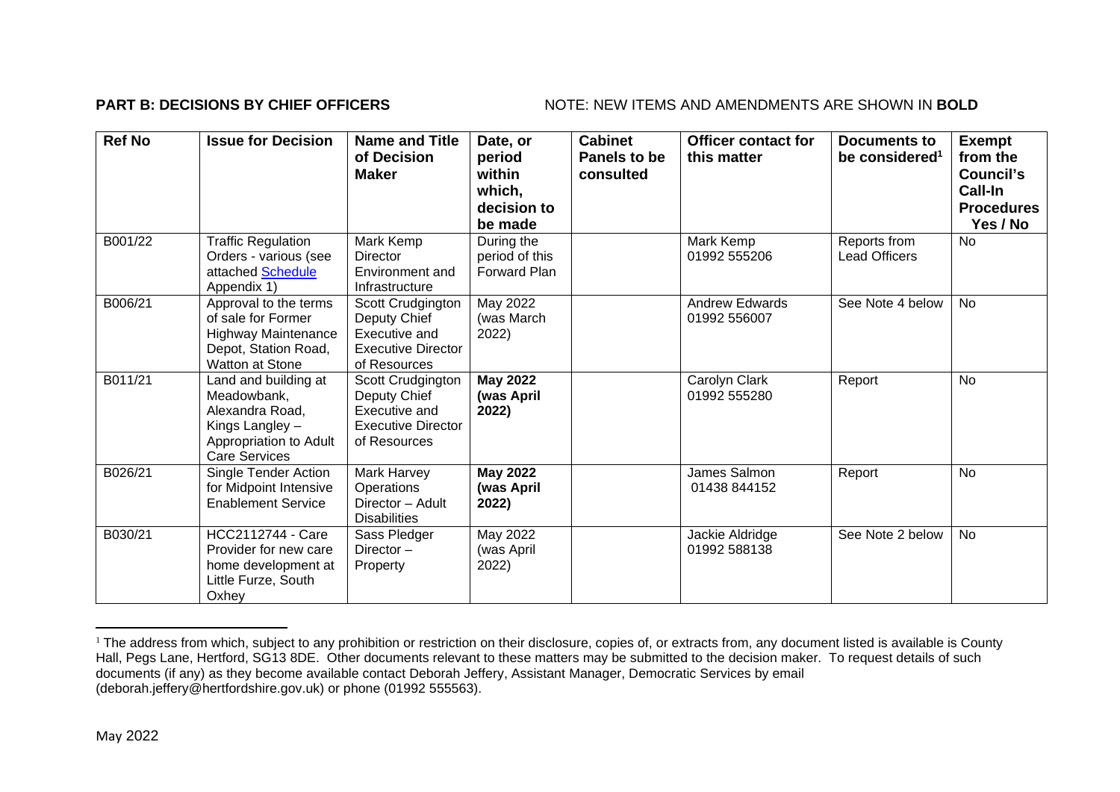#### **PART B: DECISIONS BY CHIEF OFFICERS** NOTE: NEW ITEMS AND AMENDMENTS ARE SHOWN IN BOLD

| <b>Ref No</b> | <b>Issue for Decision</b>                                                                                                   | <b>Name and Title</b><br>of Decision<br><b>Maker</b>                                            | Date, or<br>period<br>within<br>which,<br>decision to<br>be made | <b>Cabinet</b><br><b>Panels to be</b><br>consulted | <b>Officer contact for</b><br>this matter | <b>Documents to</b><br>be considered <sup>1</sup> | <b>Exempt</b><br>from the<br>Council's<br><b>Call-In</b><br><b>Procedures</b><br>Yes / No |
|---------------|-----------------------------------------------------------------------------------------------------------------------------|-------------------------------------------------------------------------------------------------|------------------------------------------------------------------|----------------------------------------------------|-------------------------------------------|---------------------------------------------------|-------------------------------------------------------------------------------------------|
| B001/22       | <b>Traffic Regulation</b><br>Orders - various (see<br>attached Schedule<br>Appendix 1)                                      | Mark Kemp<br>Director<br>Environment and<br>Infrastructure                                      | During the<br>period of this<br><b>Forward Plan</b>              |                                                    | Mark Kemp<br>01992 555206                 | Reports from<br><b>Lead Officers</b>              | No                                                                                        |
| B006/21       | Approval to the terms<br>of sale for Former<br><b>Highway Maintenance</b><br>Depot, Station Road,<br><b>Watton at Stone</b> | Scott Crudgington<br>Deputy Chief<br>Executive and<br><b>Executive Director</b><br>of Resources | May 2022<br>(was March<br>2022)                                  |                                                    | <b>Andrew Edwards</b><br>01992 556007     | See Note 4 below                                  | <b>No</b>                                                                                 |
| B011/21       | Land and building at<br>Meadowbank,<br>Alexandra Road.<br>Kings Langley -<br>Appropriation to Adult<br><b>Care Services</b> | Scott Crudgington<br>Deputy Chief<br>Executive and<br><b>Executive Director</b><br>of Resources | <b>May 2022</b><br>(was April<br>2022)                           |                                                    | Carolyn Clark<br>01992 555280             | Report                                            | No                                                                                        |
| B026/21       | Single Tender Action<br>for Midpoint Intensive<br><b>Enablement Service</b>                                                 | Mark Harvey<br>Operations<br>Director - Adult<br><b>Disabilities</b>                            | <b>May 2022</b><br>(was April<br>2022)                           |                                                    | James Salmon<br>01438 844152              | Report                                            | <b>No</b>                                                                                 |
| B030/21       | <b>HCC2112744 - Care</b><br>Provider for new care<br>home development at<br>Little Furze, South<br>Oxhey                    | Sass Pledger<br>Director $-$<br>Property                                                        | May 2022<br>(was April<br>2022)                                  |                                                    | Jackie Aldridge<br>01992 588138           | See Note 2 below                                  | <b>No</b>                                                                                 |

<sup>&</sup>lt;sup>1</sup> The address from which, subject to any prohibition or restriction on their disclosure, copies of, or extracts from, any document listed is available is County Hall, Pegs Lane, Hertford, SG13 8DE. Other documents relevant to these matters may be submitted to the decision maker. To request details of such documents (if any) as they become available contact Deborah Jeffery, Assistant Manager, Democratic Services by email (deborah.jeffery@hertfordshire.gov.uk) or phone (01992 555563).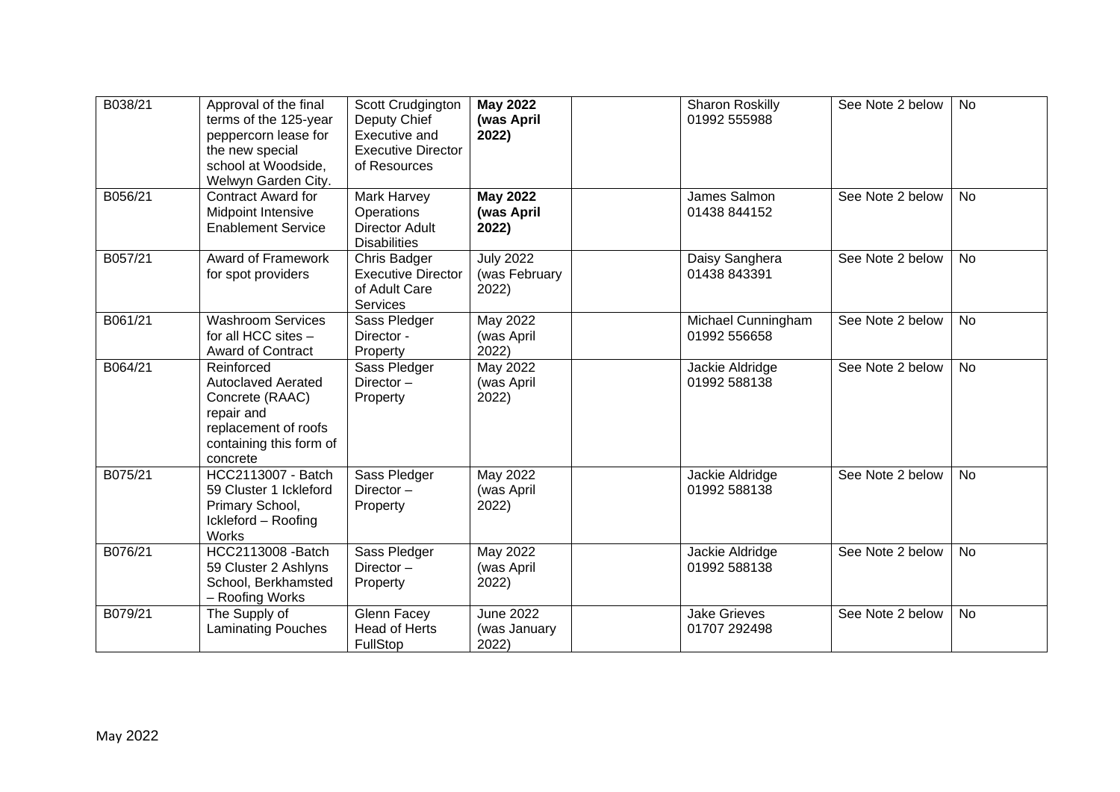| B038/21 | Approval of the final<br>terms of the 125-year<br>peppercorn lease for<br>the new special<br>school at Woodside,<br>Welwyn Garden City. | Scott Crudgington<br>Deputy Chief<br>Executive and<br><b>Executive Director</b><br>of Resources | <b>May 2022</b><br>(was April<br>2022)     | <b>Sharon Roskilly</b><br>01992 555988 | See Note 2 below | No        |
|---------|-----------------------------------------------------------------------------------------------------------------------------------------|-------------------------------------------------------------------------------------------------|--------------------------------------------|----------------------------------------|------------------|-----------|
| B056/21 | <b>Contract Award for</b><br>Midpoint Intensive<br><b>Enablement Service</b>                                                            | Mark Harvey<br>Operations<br><b>Director Adult</b><br><b>Disabilities</b>                       | <b>May 2022</b><br>(was April<br>2022)     | James Salmon<br>01438 844152           | See Note 2 below | <b>No</b> |
| B057/21 | <b>Award of Framework</b><br>for spot providers                                                                                         | Chris Badger<br><b>Executive Director</b><br>of Adult Care<br><b>Services</b>                   | <b>July 2022</b><br>(was February<br>2022) | Daisy Sanghera<br>01438 843391         | See Note 2 below | <b>No</b> |
| B061/21 | <b>Washroom Services</b><br>for all HCC sites -<br>Award of Contract                                                                    | Sass Pledger<br>Director -<br>Property                                                          | May 2022<br>(was April<br>2022)            | Michael Cunningham<br>01992 556658     | See Note 2 below | <b>No</b> |
| B064/21 | Reinforced<br><b>Autoclaved Aerated</b><br>Concrete (RAAC)<br>repair and<br>replacement of roofs<br>containing this form of<br>concrete | Sass Pledger<br>Director-<br>Property                                                           | May 2022<br>(was April<br>2022)            | Jackie Aldridge<br>01992 588138        | See Note 2 below | <b>No</b> |
| B075/21 | HCC2113007 - Batch<br>59 Cluster 1 Ickleford<br>Primary School,<br>Ickleford - Roofing<br><b>Works</b>                                  | Sass Pledger<br>Director-<br>Property                                                           | May 2022<br>(was April<br>2022)            | Jackie Aldridge<br>01992 588138        | See Note 2 below | <b>No</b> |
| B076/21 | HCC2113008 - Batch<br>59 Cluster 2 Ashlyns<br>School, Berkhamsted<br>- Roofing Works                                                    | Sass Pledger<br>Director-<br>Property                                                           | May 2022<br>(was April<br>2022)            | Jackie Aldridge<br>01992 588138        | See Note 2 below | No        |
| B079/21 | The Supply of<br><b>Laminating Pouches</b>                                                                                              | Glenn Facey<br><b>Head of Herts</b><br>FullStop                                                 | <b>June 2022</b><br>(was January<br>2022)  | <b>Jake Grieves</b><br>01707 292498    | See Note 2 below | <b>No</b> |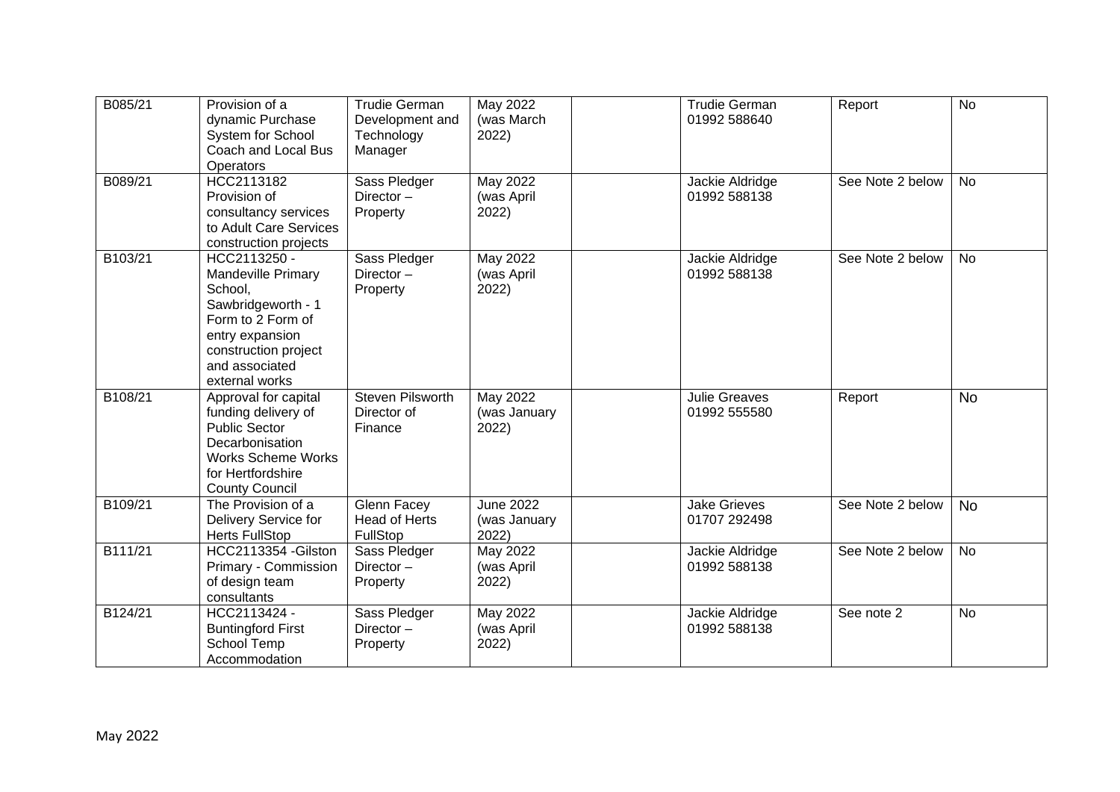| B085/21 | Provision of a<br>dynamic Purchase<br>System for School<br>Coach and Local Bus<br><b>Operators</b>                                                                             | <b>Trudie German</b><br>Development and<br>Technology<br>Manager | May 2022<br>(was March<br>2022)           | <b>Trudie German</b><br>01992 588640 | Report           | <b>No</b> |
|---------|--------------------------------------------------------------------------------------------------------------------------------------------------------------------------------|------------------------------------------------------------------|-------------------------------------------|--------------------------------------|------------------|-----------|
| B089/21 | HCC2113182<br>Provision of<br>consultancy services<br>to Adult Care Services<br>construction projects                                                                          | Sass Pledger<br>Director-<br>Property                            | May 2022<br>(was April<br>2022)           | Jackie Aldridge<br>01992 588138      | See Note 2 below | No        |
| B103/21 | HCC2113250 -<br><b>Mandeville Primary</b><br>School,<br>Sawbridgeworth - 1<br>Form to 2 Form of<br>entry expansion<br>construction project<br>and associated<br>external works | Sass Pledger<br>Director $-$<br>Property                         | May 2022<br>(was April<br>2022)           | Jackie Aldridge<br>01992 588138      | See Note 2 below | <b>No</b> |
| B108/21 | Approval for capital<br>funding delivery of<br><b>Public Sector</b><br>Decarbonisation<br><b>Works Scheme Works</b><br>for Hertfordshire<br><b>County Council</b>              | Steven Pilsworth<br>Director of<br>Finance                       | May 2022<br>(was January<br>2022)         | <b>Julie Greaves</b><br>01992 555580 | Report           | <b>No</b> |
| B109/21 | The Provision of a<br>Delivery Service for<br><b>Herts FullStop</b>                                                                                                            | <b>Glenn Facey</b><br><b>Head of Herts</b><br>FullStop           | <b>June 2022</b><br>(was January<br>2022) | <b>Jake Grieves</b><br>01707 292498  | See Note 2 below | <b>No</b> |
| B111/21 | HCC2113354 - Gilston<br>Primary - Commission<br>of design team<br>consultants                                                                                                  | Sass Pledger<br>Director $-$<br>Property                         | May 2022<br>(was April<br>2022)           | Jackie Aldridge<br>01992 588138      | See Note 2 below | <b>No</b> |
| B124/21 | HCC2113424 -<br><b>Buntingford First</b><br>School Temp<br>Accommodation                                                                                                       | Sass Pledger<br>Director $-$<br>Property                         | May 2022<br>(was April<br>2022)           | Jackie Aldridge<br>01992 588138      | See note 2       | <b>No</b> |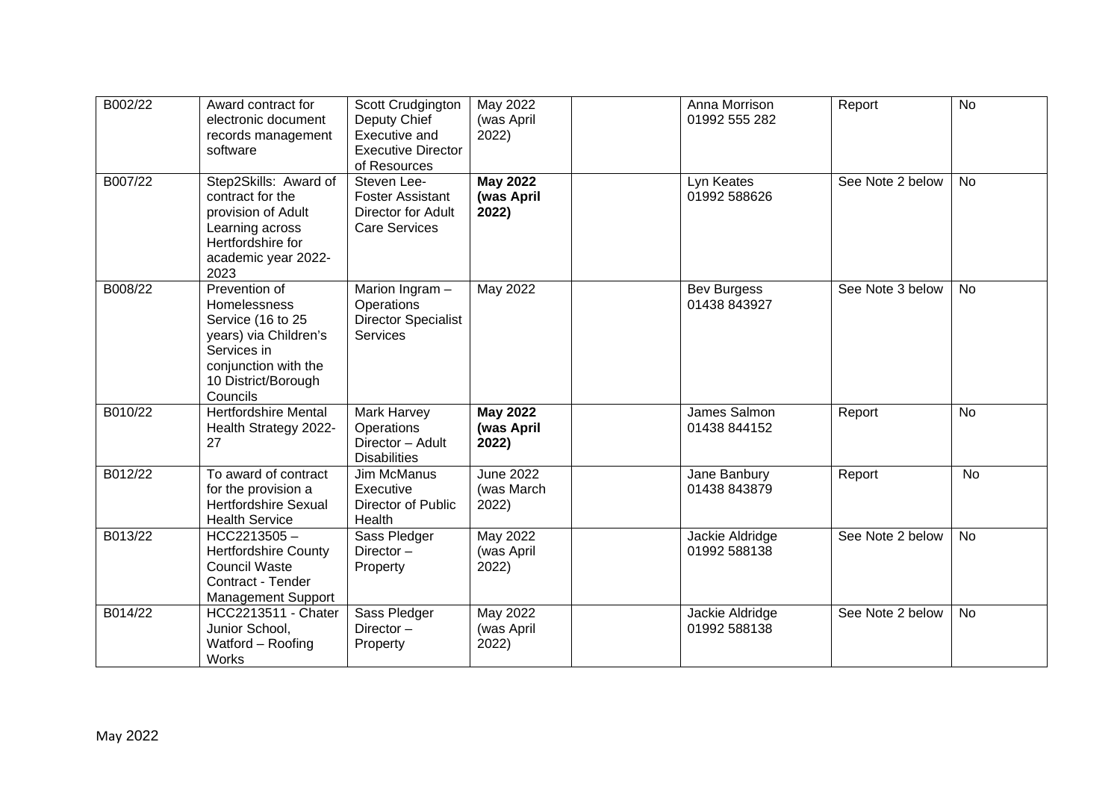| B002/22 | Award contract for<br>electronic document<br>records management<br>software                                                                           | Scott Crudgington<br>Deputy Chief<br>Executive and<br><b>Executive Director</b><br>of Resources | May 2022<br>(was April<br>2022)         | Anna Morrison<br>01992 555 282     | Report           | <b>No</b> |
|---------|-------------------------------------------------------------------------------------------------------------------------------------------------------|-------------------------------------------------------------------------------------------------|-----------------------------------------|------------------------------------|------------------|-----------|
| B007/22 | Step2Skills: Award of<br>contract for the<br>provision of Adult<br>Learning across<br>Hertfordshire for<br>academic year 2022-<br>2023                | Steven Lee-<br><b>Foster Assistant</b><br>Director for Adult<br><b>Care Services</b>            | <b>May 2022</b><br>(was April<br>2022)  | Lyn Keates<br>01992 588626         | See Note 2 below | <b>No</b> |
| B008/22 | Prevention of<br>Homelessness<br>Service (16 to 25<br>years) via Children's<br>Services in<br>conjunction with the<br>10 District/Borough<br>Councils | Marion Ingram -<br>Operations<br><b>Director Specialist</b><br><b>Services</b>                  | May 2022                                | <b>Bev Burgess</b><br>01438 843927 | See Note 3 below | No        |
| B010/22 | <b>Hertfordshire Mental</b><br>Health Strategy 2022-<br>27                                                                                            | Mark Harvey<br>Operations<br>Director - Adult<br><b>Disabilities</b>                            | <b>May 2022</b><br>(was April<br>2022)  | James Salmon<br>01438 844152       | Report           | <b>No</b> |
| B012/22 | To award of contract<br>for the provision a<br><b>Hertfordshire Sexual</b><br><b>Health Service</b>                                                   | <b>Jim McManus</b><br>Executive<br>Director of Public<br>Health                                 | <b>June 2022</b><br>(was March<br>2022) | Jane Banbury<br>01438 843879       | Report           | <b>No</b> |
| B013/22 | $HCC2213505 -$<br><b>Hertfordshire County</b><br><b>Council Waste</b><br>Contract - Tender<br><b>Management Support</b>                               | Sass Pledger<br>Director $-$<br>Property                                                        | May 2022<br>(was April<br>2022)         | Jackie Aldridge<br>01992 588138    | See Note 2 below | <b>No</b> |
| B014/22 | <b>HCC2213511 - Chater</b><br>Junior School,<br>Watford - Roofing<br>Works                                                                            | Sass Pledger<br>Director $-$<br>Property                                                        | <b>May 2022</b><br>(was April<br>2022)  | Jackie Aldridge<br>01992 588138    | See Note 2 below | <b>No</b> |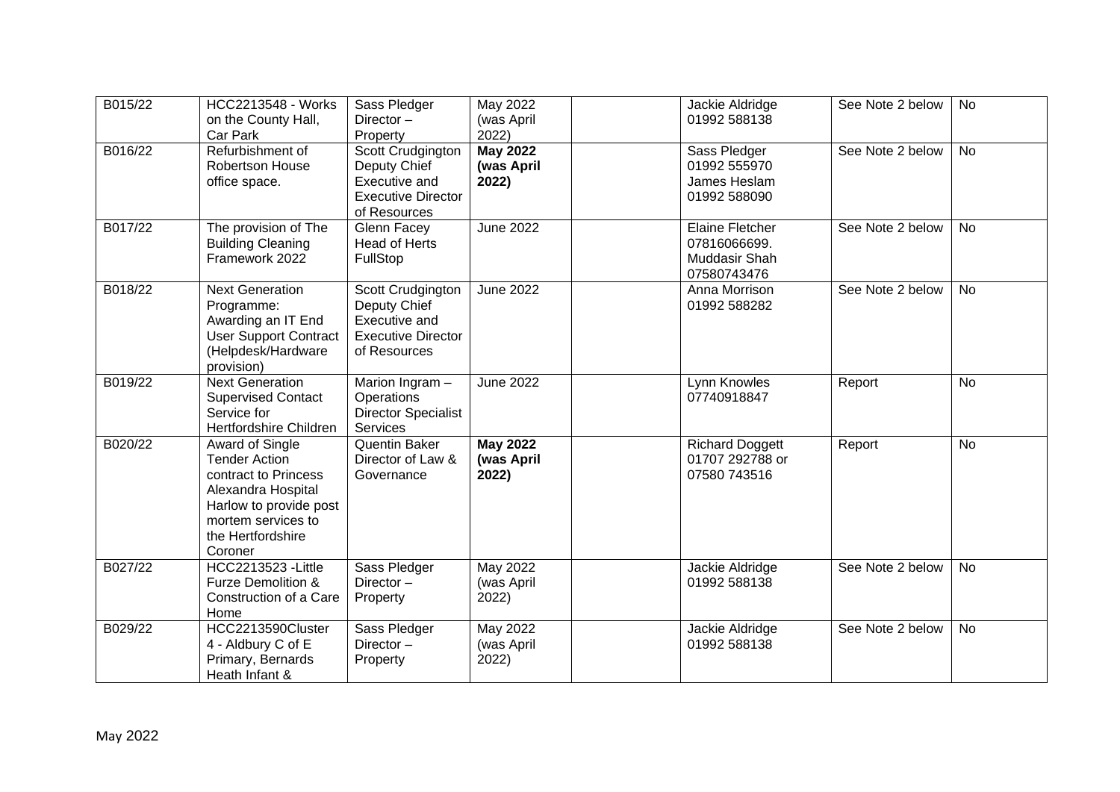| B015/22 | <b>HCC2213548 - Works</b><br>on the County Hall,<br>Car Park                                                                                                          | Sass Pledger<br>Director-<br>Property                                                           | May 2022<br>(was April<br>2022)        | Jackie Aldridge<br>01992 588138                                        | See Note 2 below | No        |
|---------|-----------------------------------------------------------------------------------------------------------------------------------------------------------------------|-------------------------------------------------------------------------------------------------|----------------------------------------|------------------------------------------------------------------------|------------------|-----------|
| B016/22 | Refurbishment of<br>Robertson House<br>office space.                                                                                                                  | Scott Crudgington<br>Deputy Chief<br>Executive and<br><b>Executive Director</b><br>of Resources | <b>May 2022</b><br>(was April<br>2022) | Sass Pledger<br>01992 555970<br>James Heslam<br>01992 588090           | See Note 2 below | <b>No</b> |
| B017/22 | The provision of The<br><b>Building Cleaning</b><br>Framework 2022                                                                                                    | Glenn Facey<br>Head of Herts<br>FullStop                                                        | <b>June 2022</b>                       | <b>Elaine Fletcher</b><br>07816066699.<br>Muddasir Shah<br>07580743476 | See Note 2 below | <b>No</b> |
| B018/22 | Next Generation<br>Programme:<br>Awarding an IT End<br><b>User Support Contract</b><br>(Helpdesk/Hardware<br>provision)                                               | Scott Crudgington<br>Deputy Chief<br>Executive and<br><b>Executive Director</b><br>of Resources | <b>June 2022</b>                       | Anna Morrison<br>01992 588282                                          | See Note 2 below | <b>No</b> |
| B019/22 | <b>Next Generation</b><br><b>Supervised Contact</b><br>Service for<br>Hertfordshire Children                                                                          | Marion Ingram -<br>Operations<br><b>Director Specialist</b><br>Services                         | <b>June 2022</b>                       | Lynn Knowles<br>07740918847                                            | Report           | <b>No</b> |
| B020/22 | Award of Single<br><b>Tender Action</b><br>contract to Princess<br>Alexandra Hospital<br>Harlow to provide post<br>mortem services to<br>the Hertfordshire<br>Coroner | Quentin Baker<br>Director of Law &<br>Governance                                                | <b>May 2022</b><br>(was April<br>2022) | <b>Richard Doggett</b><br>01707 292788 or<br>07580 743516              | Report           | <b>No</b> |
| B027/22 | <b>HCC2213523 - Little</b><br>Furze Demolition &<br>Construction of a Care<br>Home                                                                                    | Sass Pledger<br>Director-<br>Property                                                           | <b>May 2022</b><br>(was April<br>2022) | Jackie Aldridge<br>01992 588138                                        | See Note 2 below | <b>No</b> |
| B029/22 | HCC2213590Cluster<br>4 - Aldbury C of E<br>Primary, Bernards<br>Heath Infant &                                                                                        | Sass Pledger<br>Director $-$<br>Property                                                        | <b>May 2022</b><br>(was April<br>2022) | Jackie Aldridge<br>01992 588138                                        | See Note 2 below | <b>No</b> |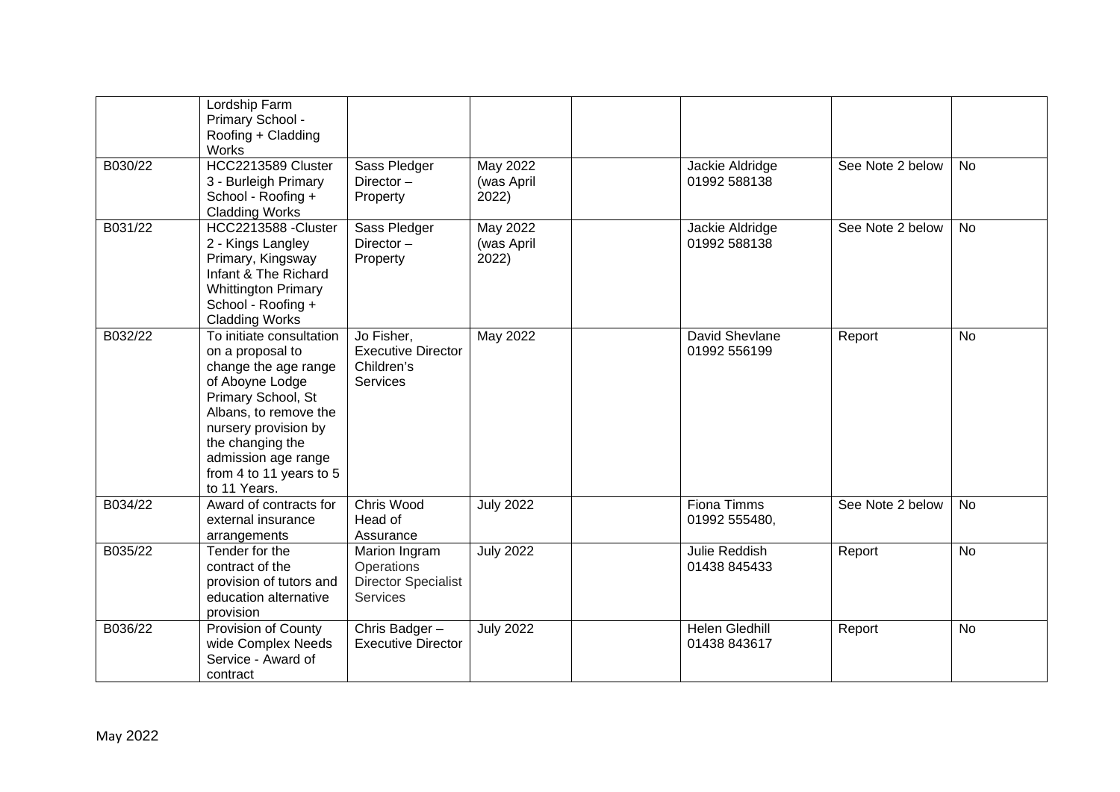|         | Lordship Farm<br>Primary School -<br>Roofing + Cladding<br>Works                                                                                                                                                                                     |                                                                              |                                 |                                       |                  |           |
|---------|------------------------------------------------------------------------------------------------------------------------------------------------------------------------------------------------------------------------------------------------------|------------------------------------------------------------------------------|---------------------------------|---------------------------------------|------------------|-----------|
| B030/22 | HCC2213589 Cluster<br>3 - Burleigh Primary<br>School - Roofing +<br><b>Cladding Works</b>                                                                                                                                                            | Sass Pledger<br>Director-<br>Property                                        | May 2022<br>(was April<br>2022) | Jackie Aldridge<br>01992 588138       | See Note 2 below | <b>No</b> |
| B031/22 | HCC2213588 -Cluster<br>2 - Kings Langley<br>Primary, Kingsway<br>Infant & The Richard<br><b>Whittington Primary</b><br>School - Roofing +<br><b>Cladding Works</b>                                                                                   | Sass Pledger<br>Director-<br>Property                                        | May 2022<br>(was April<br>2022) | Jackie Aldridge<br>01992 588138       | See Note 2 below | <b>No</b> |
| B032/22 | To initiate consultation<br>on a proposal to<br>change the age range<br>of Aboyne Lodge<br>Primary School, St<br>Albans, to remove the<br>nursery provision by<br>the changing the<br>admission age range<br>from 4 to 11 years to 5<br>to 11 Years. | Jo Fisher,<br><b>Executive Director</b><br>Children's<br><b>Services</b>     | May 2022                        | David Shevlane<br>01992 556199        | Report           | No        |
| B034/22 | Award of contracts for<br>external insurance<br>arrangements                                                                                                                                                                                         | Chris Wood<br>Head of<br>Assurance                                           | <b>July 2022</b>                | Fiona Timms<br>01992 555480,          | See Note 2 below | No        |
| B035/22 | Tender for the<br>contract of the<br>provision of tutors and<br>education alternative<br>provision                                                                                                                                                   | Marion Ingram<br>Operations<br><b>Director Specialist</b><br><b>Services</b> | <b>July 2022</b>                | Julie Reddish<br>01438 845433         | Report           | No        |
| B036/22 | Provision of County<br>wide Complex Needs<br>Service - Award of<br>contract                                                                                                                                                                          | Chris Badger-<br><b>Executive Director</b>                                   | <b>July 2022</b>                | <b>Helen Gledhill</b><br>01438 843617 | Report           | <b>No</b> |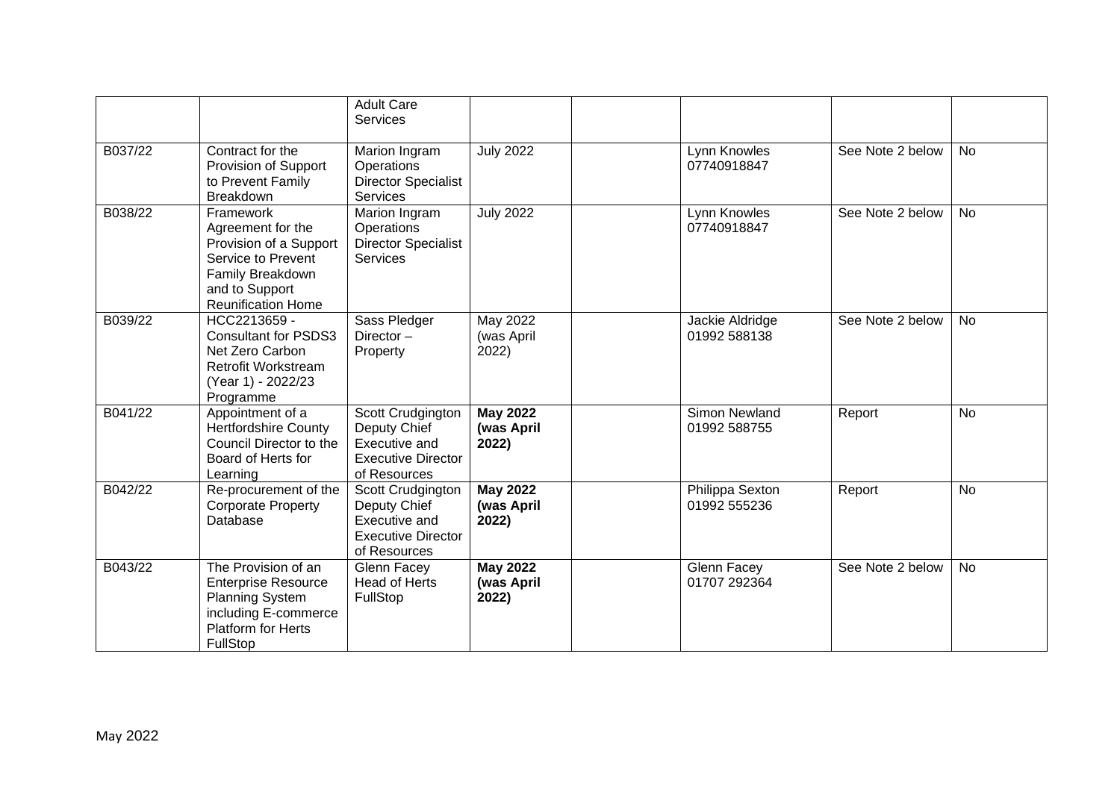|         |                                                                                                                                                   | <b>Adult Care</b><br><b>Services</b>                                                            |                                        |                                 |                  |           |
|---------|---------------------------------------------------------------------------------------------------------------------------------------------------|-------------------------------------------------------------------------------------------------|----------------------------------------|---------------------------------|------------------|-----------|
| B037/22 | Contract for the<br>Provision of Support<br>to Prevent Family<br><b>Breakdown</b>                                                                 | Marion Ingram<br>Operations<br><b>Director Specialist</b><br><b>Services</b>                    | <b>July 2022</b>                       | Lynn Knowles<br>07740918847     | See Note 2 below | <b>No</b> |
| B038/22 | Framework<br>Agreement for the<br>Provision of a Support<br>Service to Prevent<br>Family Breakdown<br>and to Support<br><b>Reunification Home</b> | Marion Ingram<br>Operations<br><b>Director Specialist</b><br><b>Services</b>                    | <b>July 2022</b>                       | Lynn Knowles<br>07740918847     | See Note 2 below | <b>No</b> |
| B039/22 | HCC2213659 -<br><b>Consultant for PSDS3</b><br>Net Zero Carbon<br><b>Retrofit Workstream</b><br>(Year 1) - 2022/23<br>Programme                   | Sass Pledger<br>Director $-$<br>Property                                                        | May 2022<br>(was April<br>2022)        | Jackie Aldridge<br>01992 588138 | See Note 2 below | <b>No</b> |
| B041/22 | Appointment of a<br><b>Hertfordshire County</b><br>Council Director to the<br>Board of Herts for<br>Learning                                      | Scott Crudgington<br>Deputy Chief<br>Executive and<br><b>Executive Director</b><br>of Resources | <b>May 2022</b><br>(was April<br>2022) | Simon Newland<br>01992 588755   | Report           | <b>No</b> |
| B042/22 | Re-procurement of the<br><b>Corporate Property</b><br>Database                                                                                    | Scott Crudgington<br>Deputy Chief<br>Executive and<br><b>Executive Director</b><br>of Resources | <b>May 2022</b><br>(was April<br>2022) | Philippa Sexton<br>01992 555236 | Report           | <b>No</b> |
| B043/22 | The Provision of an<br><b>Enterprise Resource</b><br><b>Planning System</b><br>including E-commerce<br><b>Platform for Herts</b><br>FullStop      | Glenn Facey<br><b>Head of Herts</b><br>FullStop                                                 | <b>May 2022</b><br>(was April<br>2022) | Glenn Facey<br>01707 292364     | See Note 2 below | <b>No</b> |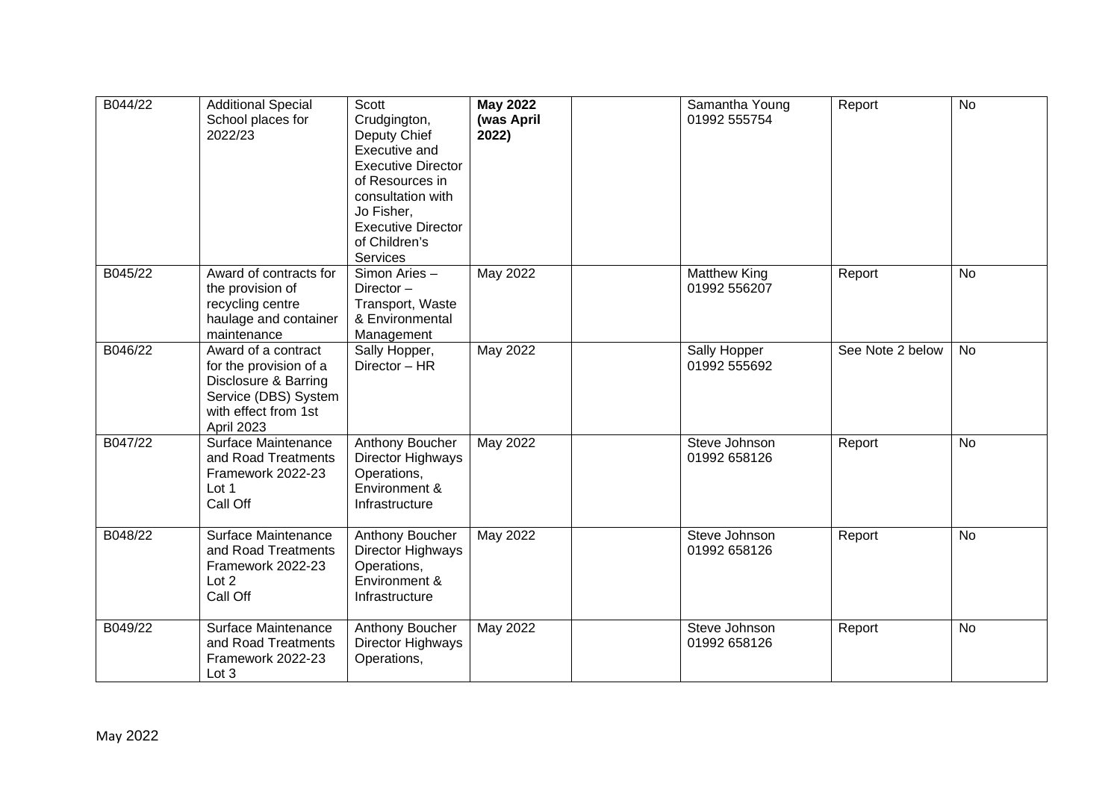| B044/22 | <b>Additional Special</b><br>School places for<br>2022/23                                                                                  | Scott<br>Crudgington,<br>Deputy Chief<br>Executive and<br><b>Executive Director</b><br>of Resources in<br>consultation with<br>Jo Fisher,<br><b>Executive Director</b><br>of Children's<br><b>Services</b> | <b>May 2022</b><br>(was April<br>2022) | Samantha Young<br>01992 555754 | Report           | <b>No</b> |
|---------|--------------------------------------------------------------------------------------------------------------------------------------------|------------------------------------------------------------------------------------------------------------------------------------------------------------------------------------------------------------|----------------------------------------|--------------------------------|------------------|-----------|
| B045/22 | Award of contracts for<br>the provision of<br>recycling centre<br>haulage and container<br>maintenance                                     | Simon Aries -<br>Director $-$<br>Transport, Waste<br>& Environmental<br>Management                                                                                                                         | May 2022                               | Matthew King<br>01992 556207   | Report           | <b>No</b> |
| B046/22 | Award of a contract<br>for the provision of a<br>Disclosure & Barring<br>Service (DBS) System<br>with effect from 1st<br><b>April 2023</b> | Sally Hopper,<br>Director - HR                                                                                                                                                                             | May 2022                               | Sally Hopper<br>01992 555692   | See Note 2 below | <b>No</b> |
| B047/22 | Surface Maintenance<br>and Road Treatments<br>Framework 2022-23<br>Lot 1<br>Call Off                                                       | Anthony Boucher<br>Director Highways<br>Operations,<br>Environment &<br>Infrastructure                                                                                                                     | May 2022                               | Steve Johnson<br>01992 658126  | Report           | <b>No</b> |
| B048/22 | Surface Maintenance<br>and Road Treatments<br>Framework 2022-23<br>Lot 2<br>Call Off                                                       | Anthony Boucher<br>Director Highways<br>Operations,<br>Environment &<br>Infrastructure                                                                                                                     | May 2022                               | Steve Johnson<br>01992 658126  | Report           | <b>No</b> |
| B049/22 | Surface Maintenance<br>and Road Treatments<br>Framework 2022-23<br>Lot 3                                                                   | Anthony Boucher<br>Director Highways<br>Operations,                                                                                                                                                        | May 2022                               | Steve Johnson<br>01992 658126  | Report           | <b>No</b> |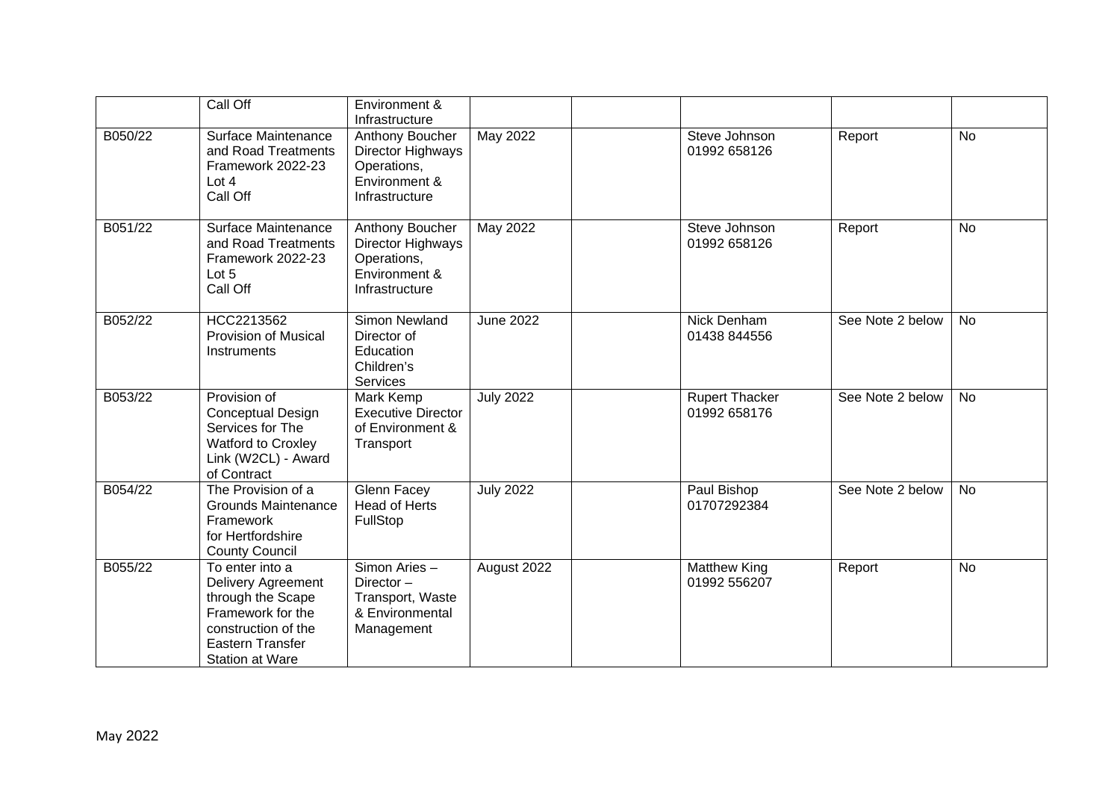|         | Call Off                                                                                                                                             | Environment &<br>Infrastructure                                                        |                  |                                       |                  |           |
|---------|------------------------------------------------------------------------------------------------------------------------------------------------------|----------------------------------------------------------------------------------------|------------------|---------------------------------------|------------------|-----------|
| B050/22 | Surface Maintenance<br>and Road Treatments<br>Framework 2022-23<br>Lot $4$<br>Call Off                                                               | Anthony Boucher<br>Director Highways<br>Operations,<br>Environment &<br>Infrastructure | May 2022         | Steve Johnson<br>01992 658126         | Report           | <b>No</b> |
| B051/22 | Surface Maintenance<br>and Road Treatments<br>Framework 2022-23<br>Lot $5$<br>Call Off                                                               | Anthony Boucher<br>Director Highways<br>Operations,<br>Environment &<br>Infrastructure | May 2022         | Steve Johnson<br>01992 658126         | Report           | <b>No</b> |
| B052/22 | HCC2213562<br><b>Provision of Musical</b><br>Instruments                                                                                             | <b>Simon Newland</b><br>Director of<br>Education<br>Children's<br><b>Services</b>      | <b>June 2022</b> | Nick Denham<br>01438 844556           | See Note 2 below | No        |
| B053/22 | Provision of<br>Conceptual Design<br>Services for The<br>Watford to Croxley<br>Link (W2CL) - Award<br>of Contract                                    | Mark Kemp<br><b>Executive Director</b><br>of Environment &<br>Transport                | <b>July 2022</b> | <b>Rupert Thacker</b><br>01992 658176 | See Note 2 below | <b>No</b> |
| B054/22 | The Provision of a<br><b>Grounds Maintenance</b><br>Framework<br>for Hertfordshire<br><b>County Council</b>                                          | <b>Glenn Facey</b><br><b>Head of Herts</b><br>FullStop                                 | <b>July 2022</b> | Paul Bishop<br>01707292384            | See Note 2 below | <b>No</b> |
| B055/22 | To enter into a<br>Delivery Agreement<br>through the Scape<br>Framework for the<br>construction of the<br>Eastern Transfer<br><b>Station at Ware</b> | Simon Aries -<br>Director $-$<br>Transport, Waste<br>& Environmental<br>Management     | August 2022      | <b>Matthew King</b><br>01992 556207   | Report           | No        |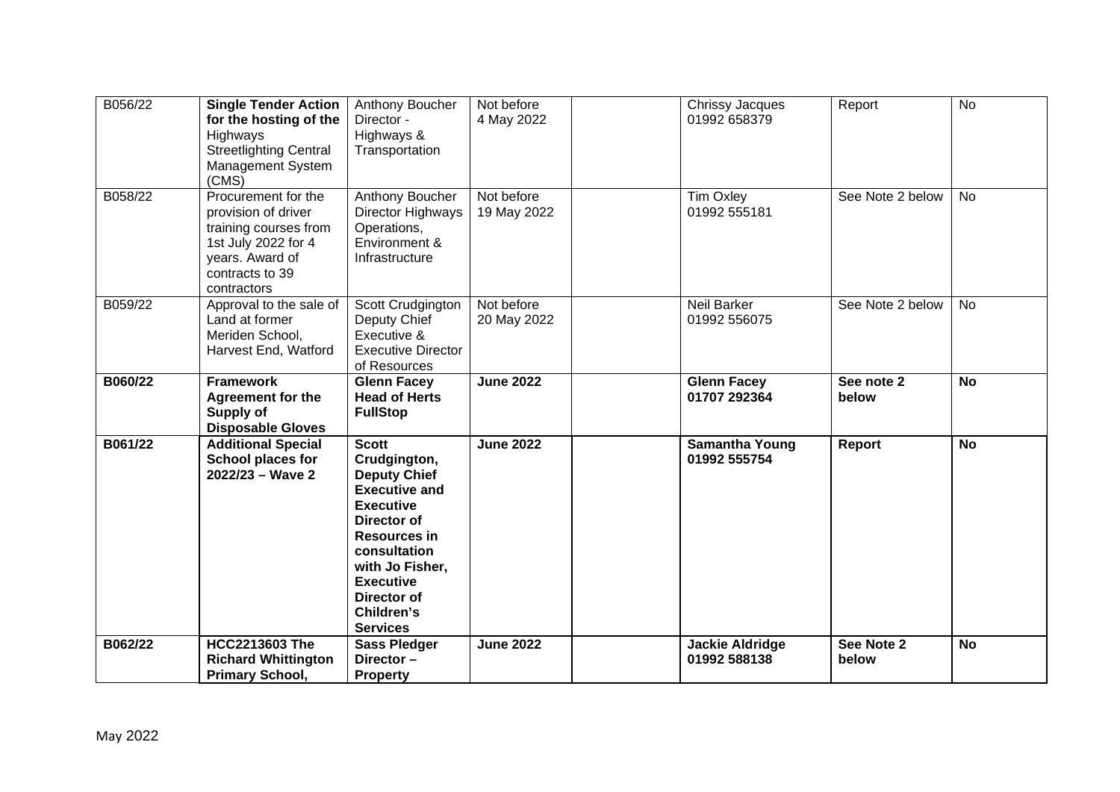| B056/22 | <b>Single Tender Action</b><br>for the hosting of the<br>Highways<br><b>Streetlighting Central</b><br>Management System<br>(CMS)                | Anthony Boucher<br>Director -<br>Highways &<br>Transportation                                                                                                                                                                                | Not before<br>4 May 2022  | Chrissy Jacques<br>01992 658379        | Report              | <b>No</b> |
|---------|-------------------------------------------------------------------------------------------------------------------------------------------------|----------------------------------------------------------------------------------------------------------------------------------------------------------------------------------------------------------------------------------------------|---------------------------|----------------------------------------|---------------------|-----------|
| B058/22 | Procurement for the<br>provision of driver<br>training courses from<br>1st July 2022 for 4<br>years. Award of<br>contracts to 39<br>contractors | Anthony Boucher<br>Director Highways<br>Operations,<br>Environment &<br>Infrastructure                                                                                                                                                       | Not before<br>19 May 2022 | <b>Tim Oxley</b><br>01992 555181       | See Note 2 below    | <b>No</b> |
| B059/22 | Approval to the sale of<br>Land at former<br>Meriden School,<br>Harvest End, Watford                                                            | Scott Crudgington<br>Deputy Chief<br>Executive &<br><b>Executive Director</b><br>of Resources                                                                                                                                                | Not before<br>20 May 2022 | <b>Neil Barker</b><br>01992 556075     | See Note 2 below    | <b>No</b> |
| B060/22 | <b>Framework</b><br>Agreement for the<br>Supply of<br><b>Disposable Gloves</b>                                                                  | <b>Glenn Facey</b><br><b>Head of Herts</b><br><b>FullStop</b>                                                                                                                                                                                | <b>June 2022</b>          | <b>Glenn Facey</b><br>01707 292364     | See note 2<br>below | <b>No</b> |
| B061/22 | <b>Additional Special</b><br><b>School places for</b><br>$2022/23 - Wave 2$                                                                     | <b>Scott</b><br>Crudgington,<br><b>Deputy Chief</b><br><b>Executive and</b><br><b>Executive</b><br>Director of<br><b>Resources in</b><br>consultation<br>with Jo Fisher,<br><b>Executive</b><br>Director of<br>Children's<br><b>Services</b> | <b>June 2022</b>          | <b>Samantha Young</b><br>01992 555754  | Report              | <b>No</b> |
| B062/22 | <b>HCC2213603 The</b><br><b>Richard Whittington</b><br><b>Primary School,</b>                                                                   | <b>Sass Pledger</b><br>Director-<br><b>Property</b>                                                                                                                                                                                          | <b>June 2022</b>          | <b>Jackie Aldridge</b><br>01992 588138 | See Note 2<br>below | <b>No</b> |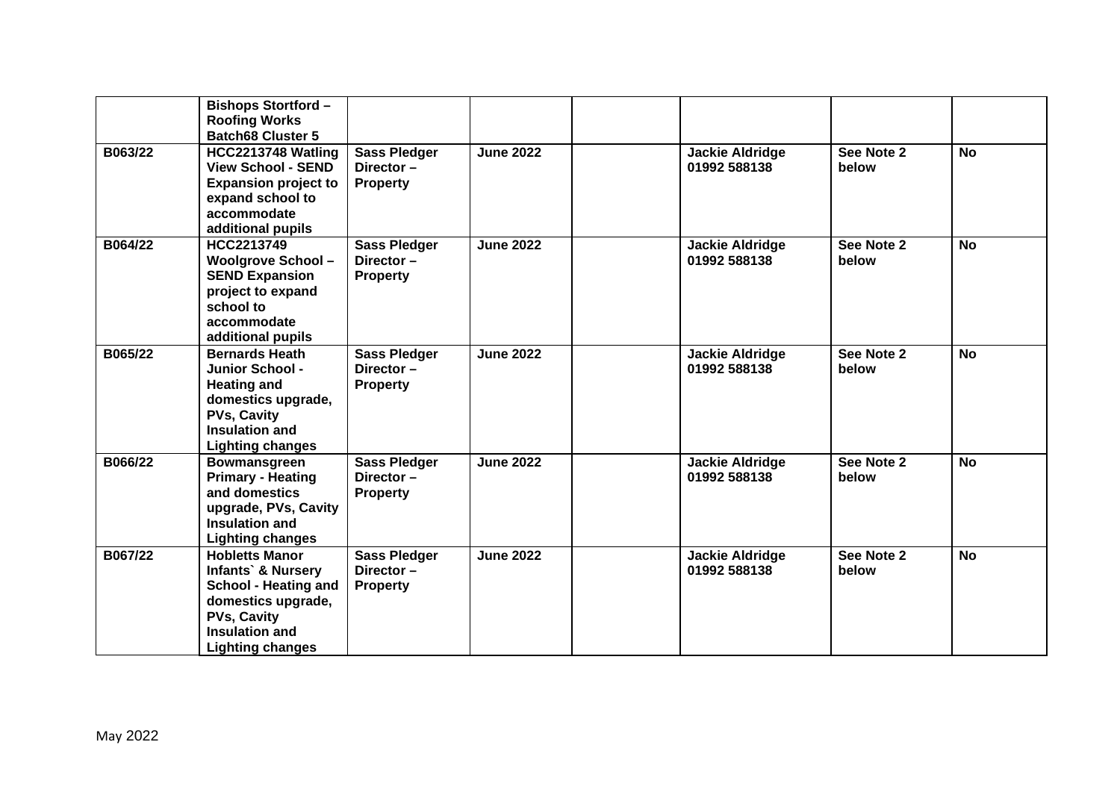|         | <b>Bishops Stortford-</b><br><b>Roofing Works</b><br><b>Batch68 Cluster 5</b>                                                                                                    |                                                        |                  |                                        |                     |                |
|---------|----------------------------------------------------------------------------------------------------------------------------------------------------------------------------------|--------------------------------------------------------|------------------|----------------------------------------|---------------------|----------------|
| B063/22 | HCC2213748 Watling<br><b>View School - SEND</b><br><b>Expansion project to</b><br>expand school to<br>accommodate<br>additional pupils                                           | <b>Sass Pledger</b><br>Director $-$<br><b>Property</b> | <b>June 2022</b> | <b>Jackie Aldridge</b><br>01992 588138 | See Note 2<br>below | <b>No</b>      |
| B064/22 | HCC2213749<br><b>Woolgrove School-</b><br><b>SEND Expansion</b><br>project to expand<br>school to<br>accommodate<br>additional pupils                                            | <b>Sass Pledger</b><br>Director-<br><b>Property</b>    | <b>June 2022</b> | <b>Jackie Aldridge</b><br>01992 588138 | See Note 2<br>below | <b>No</b>      |
| B065/22 | <b>Bernards Heath</b><br><b>Junior School -</b><br><b>Heating and</b><br>domestics upgrade,<br><b>PVs, Cavity</b><br><b>Insulation and</b><br><b>Lighting changes</b>            | <b>Sass Pledger</b><br>Director-<br><b>Property</b>    | <b>June 2022</b> | <b>Jackie Aldridge</b><br>01992 588138 | See Note 2<br>below | <b>No</b>      |
| B066/22 | <b>Bowmansgreen</b><br><b>Primary - Heating</b><br>and domestics<br>upgrade, PVs, Cavity<br><b>Insulation and</b><br><b>Lighting changes</b>                                     | <b>Sass Pledger</b><br>Director-<br><b>Property</b>    | <b>June 2022</b> | <b>Jackie Aldridge</b><br>01992 588138 | See Note 2<br>below | $\overline{N}$ |
| B067/22 | <b>Hobletts Manor</b><br><b>Infants</b> & Nursery<br><b>School - Heating and</b><br>domestics upgrade,<br><b>PVs, Cavity</b><br><b>Insulation and</b><br><b>Lighting changes</b> | <b>Sass Pledger</b><br>Director-<br><b>Property</b>    | <b>June 2022</b> | <b>Jackie Aldridge</b><br>01992 588138 | See Note 2<br>below | <b>No</b>      |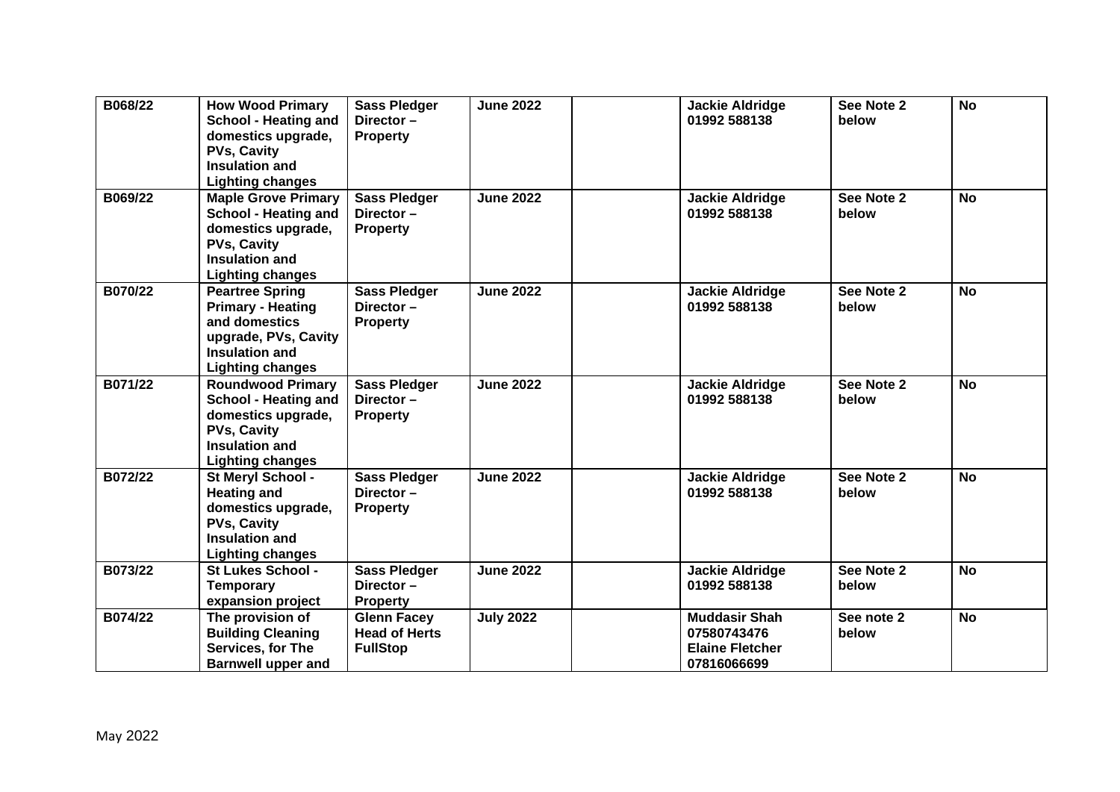| B068/22 | <b>How Wood Primary</b><br><b>School - Heating and</b><br>domestics upgrade,<br><b>PVs, Cavity</b><br><b>Insulation and</b><br><b>Lighting changes</b>    | <b>Sass Pledger</b><br>Director-<br><b>Property</b>           | <b>June 2022</b> | <b>Jackie Aldridge</b><br>01992 588138                                       | See Note 2<br>below | <b>No</b> |
|---------|-----------------------------------------------------------------------------------------------------------------------------------------------------------|---------------------------------------------------------------|------------------|------------------------------------------------------------------------------|---------------------|-----------|
| B069/22 | <b>Maple Grove Primary</b><br><b>School - Heating and</b><br>domestics upgrade,<br><b>PVs, Cavity</b><br><b>Insulation and</b><br><b>Lighting changes</b> | <b>Sass Pledger</b><br>Director-<br><b>Property</b>           | <b>June 2022</b> | <b>Jackie Aldridge</b><br>01992 588138                                       | See Note 2<br>below | <b>No</b> |
| B070/22 | <b>Peartree Spring</b><br><b>Primary - Heating</b><br>and domestics<br>upgrade, PVs, Cavity<br>Insulation and<br><b>Lighting changes</b>                  | <b>Sass Pledger</b><br>Director-<br><b>Property</b>           | <b>June 2022</b> | <b>Jackie Aldridge</b><br>01992 588138                                       | See Note 2<br>below | <b>No</b> |
| B071/22 | <b>Roundwood Primary</b><br><b>School - Heating and</b><br>domestics upgrade,<br><b>PVs, Cavity</b><br>Insulation and<br><b>Lighting changes</b>          | <b>Sass Pledger</b><br>Director-<br><b>Property</b>           | <b>June 2022</b> | <b>Jackie Aldridge</b><br>01992 588138                                       | See Note 2<br>below | <b>No</b> |
| B072/22 | St Meryl School -<br><b>Heating and</b><br>domestics upgrade,<br><b>PVs, Cavity</b><br>Insulation and<br><b>Lighting changes</b>                          | <b>Sass Pledger</b><br>Director-<br><b>Property</b>           | <b>June 2022</b> | <b>Jackie Aldridge</b><br>01992 588138                                       | See Note 2<br>below | <b>No</b> |
| B073/22 | <b>St Lukes School -</b><br><b>Temporary</b><br>expansion project                                                                                         | <b>Sass Pledger</b><br>Director-<br><b>Property</b>           | <b>June 2022</b> | <b>Jackie Aldridge</b><br>01992 588138                                       | See Note 2<br>below | <b>No</b> |
| B074/22 | The provision of<br><b>Building Cleaning</b><br>Services, for The<br><b>Barnwell upper and</b>                                                            | <b>Glenn Facey</b><br><b>Head of Herts</b><br><b>FullStop</b> | <b>July 2022</b> | <b>Muddasir Shah</b><br>07580743476<br><b>Elaine Fletcher</b><br>07816066699 | See note 2<br>below | <b>No</b> |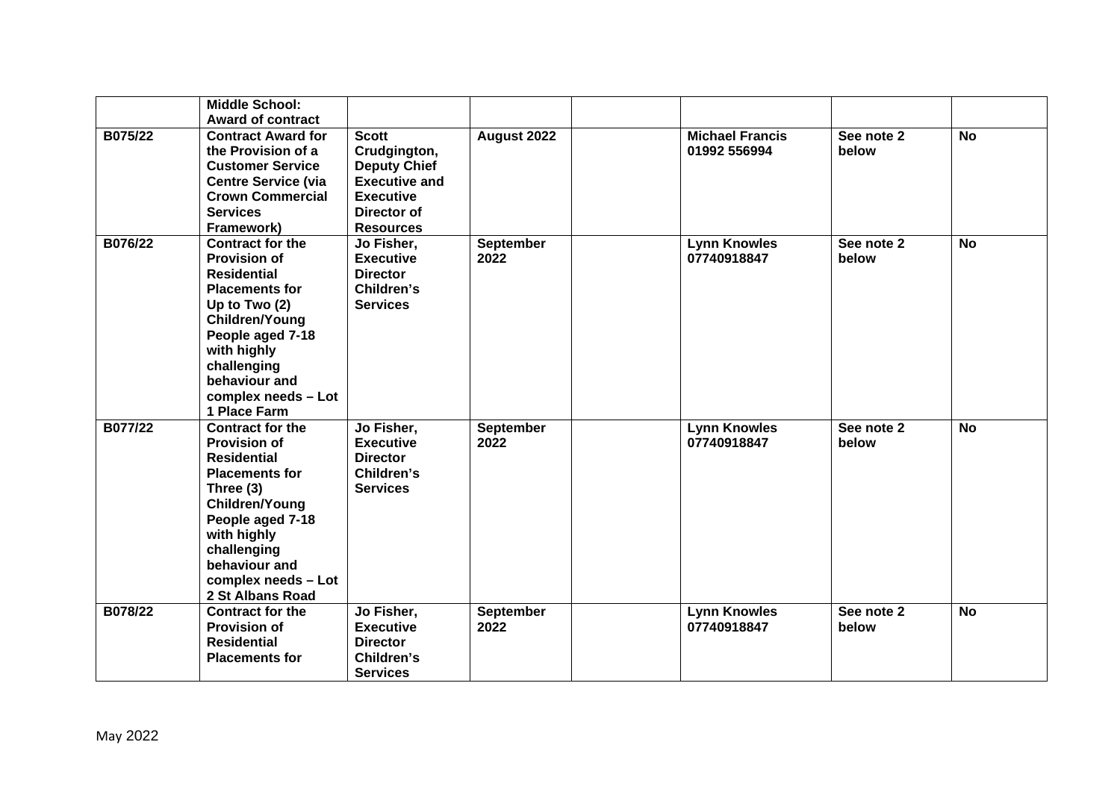|         | <b>Middle School:</b><br><b>Award of contract</b>                                                                                                                                                                                                   |                                                                                                                                    |                          |                                        |                     |           |
|---------|-----------------------------------------------------------------------------------------------------------------------------------------------------------------------------------------------------------------------------------------------------|------------------------------------------------------------------------------------------------------------------------------------|--------------------------|----------------------------------------|---------------------|-----------|
| B075/22 | <b>Contract Award for</b><br>the Provision of a<br><b>Customer Service</b><br><b>Centre Service (via</b><br><b>Crown Commercial</b><br><b>Services</b><br>Framework)                                                                                | <b>Scott</b><br>Crudgington,<br><b>Deputy Chief</b><br><b>Executive and</b><br><b>Executive</b><br>Director of<br><b>Resources</b> | August 2022              | <b>Michael Francis</b><br>01992 556994 | See note 2<br>below | <b>No</b> |
| B076/22 | <b>Contract for the</b><br><b>Provision of</b><br><b>Residential</b><br><b>Placements for</b><br>Up to Two $(2)$<br><b>Children/Young</b><br>People aged 7-18<br>with highly<br>challenging<br>behaviour and<br>complex needs - Lot<br>1 Place Farm | Jo Fisher,<br><b>Executive</b><br><b>Director</b><br>Children's<br><b>Services</b>                                                 | September<br>2022        | <b>Lynn Knowles</b><br>07740918847     | See note 2<br>below | <b>No</b> |
| B077/22 | <b>Contract for the</b><br><b>Provision of</b><br><b>Residential</b><br><b>Placements for</b><br>Three (3)<br><b>Children/Young</b><br>People aged 7-18<br>with highly<br>challenging<br>behaviour and<br>complex needs - Lot<br>2 St Albans Road   | Jo Fisher,<br><b>Executive</b><br><b>Director</b><br>Children's<br><b>Services</b>                                                 | <b>September</b><br>2022 | <b>Lynn Knowles</b><br>07740918847     | See note 2<br>below | <b>No</b> |
| B078/22 | <b>Contract for the</b><br><b>Provision of</b><br><b>Residential</b><br><b>Placements for</b>                                                                                                                                                       | Jo Fisher,<br><b>Executive</b><br><b>Director</b><br>Children's<br><b>Services</b>                                                 | September<br>2022        | <b>Lynn Knowles</b><br>07740918847     | See note 2<br>below | <b>No</b> |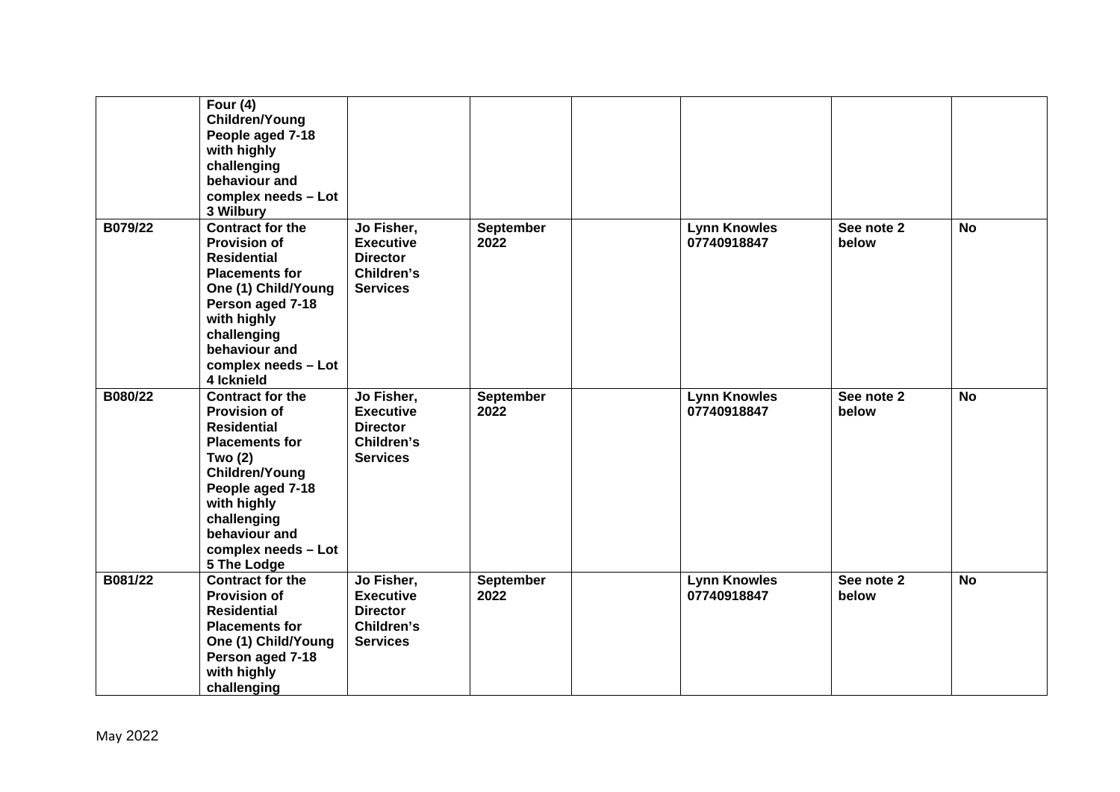|         | Four $(4)$<br>Children/Young<br>People aged 7-18<br>with highly<br>challenging<br>behaviour and<br>complex needs - Lot<br>3 Wilbury                                                                                                        |                                                                                    |                          |                                    |                     |           |
|---------|--------------------------------------------------------------------------------------------------------------------------------------------------------------------------------------------------------------------------------------------|------------------------------------------------------------------------------------|--------------------------|------------------------------------|---------------------|-----------|
| B079/22 | <b>Contract for the</b><br><b>Provision of</b><br><b>Residential</b><br><b>Placements for</b><br>One (1) Child/Young<br>Person aged 7-18<br>with highly<br>challenging<br>behaviour and<br>complex needs - Lot<br>4 Icknield               | Jo Fisher,<br><b>Executive</b><br><b>Director</b><br>Children's<br><b>Services</b> | September<br>2022        | <b>Lynn Knowles</b><br>07740918847 | See note 2<br>below | <b>No</b> |
| B080/22 | <b>Contract for the</b><br><b>Provision of</b><br><b>Residential</b><br><b>Placements for</b><br><b>Two (2)</b><br>Children/Young<br>People aged 7-18<br>with highly<br>challenging<br>behaviour and<br>complex needs - Lot<br>5 The Lodge | Jo Fisher,<br><b>Executive</b><br><b>Director</b><br>Children's<br><b>Services</b> | <b>September</b><br>2022 | <b>Lynn Knowles</b><br>07740918847 | See note 2<br>below | <b>No</b> |
| B081/22 | <b>Contract for the</b><br><b>Provision of</b><br><b>Residential</b><br><b>Placements for</b><br>One (1) Child/Young<br>Person aged 7-18<br>with highly<br>challenging                                                                     | Jo Fisher,<br><b>Executive</b><br><b>Director</b><br>Children's<br><b>Services</b> | <b>September</b><br>2022 | <b>Lynn Knowles</b><br>07740918847 | See note 2<br>below | <b>No</b> |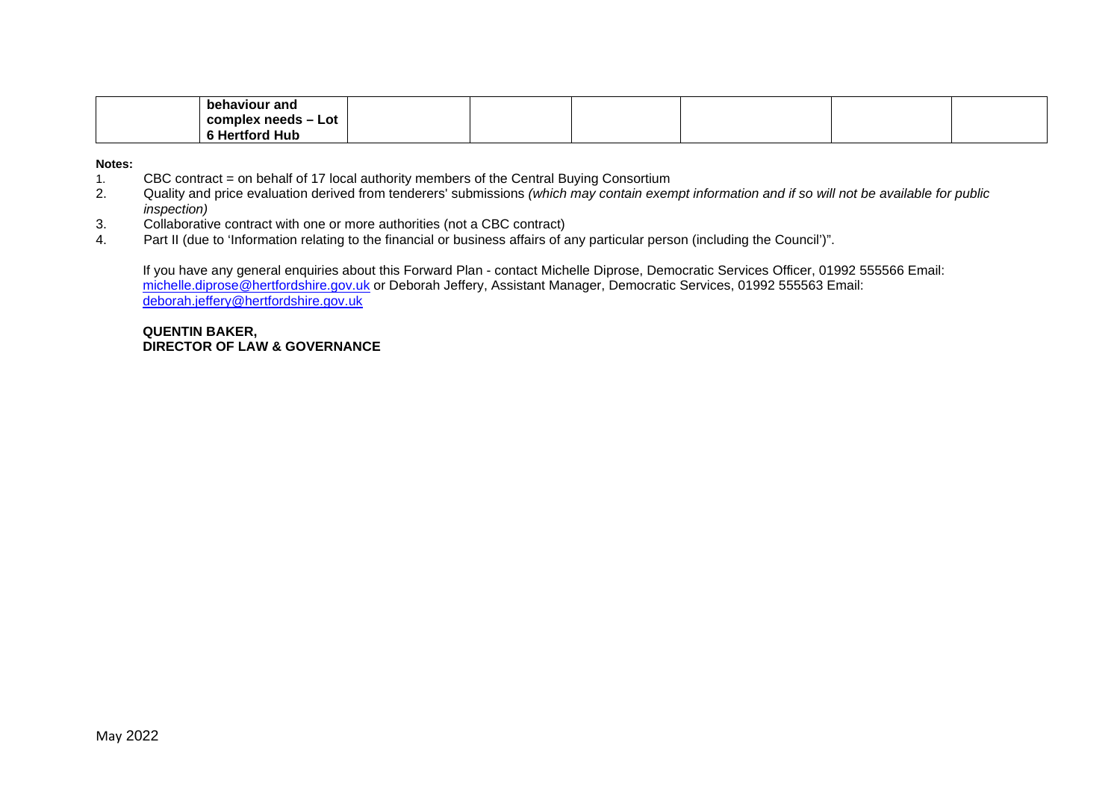| behaviour and            |  |  |  |
|--------------------------|--|--|--|
| Lot<br>complex needs –   |  |  |  |
| ' Hub<br>Hertford<br>- 3 |  |  |  |

**Notes:** 

- 1. CBC contract = on behalf of 17 local authority members of the Central Buying Consortium<br>2. Quality and price evaluation derived from tenderers' submissions (which may contain exer
- Quality and price evaluation derived from tenderers' submissions *(which may contain exempt information and if so will not be available for public inspection)*
- 3. Collaborative contract with one or more authorities (not a CBC contract)<br>4. Part II (due to 'Information relating to the financial or business affairs of a
- Part II (due to 'Information relating to the financial or business affairs of any particular person (including the Council')".

If you have any general enquiries about this Forward Plan - contact Michelle Diprose, Democratic Services Officer, 01992 555566 Email: [michelle.diprose@hertfordshire.gov.uk](mailto:michelle.diprose@hertfordshire.gov.uk) or Deborah Jeffery, Assistant Manager, Democratic Services, 01992 555563 Email: [deborah.jeffery@hertfordshire.gov.uk](mailto:deborah.jeffery@hertfordshire.gov.uk)

**QUENTIN BAKER, DIRECTOR OF LAW & GOVERNANCE**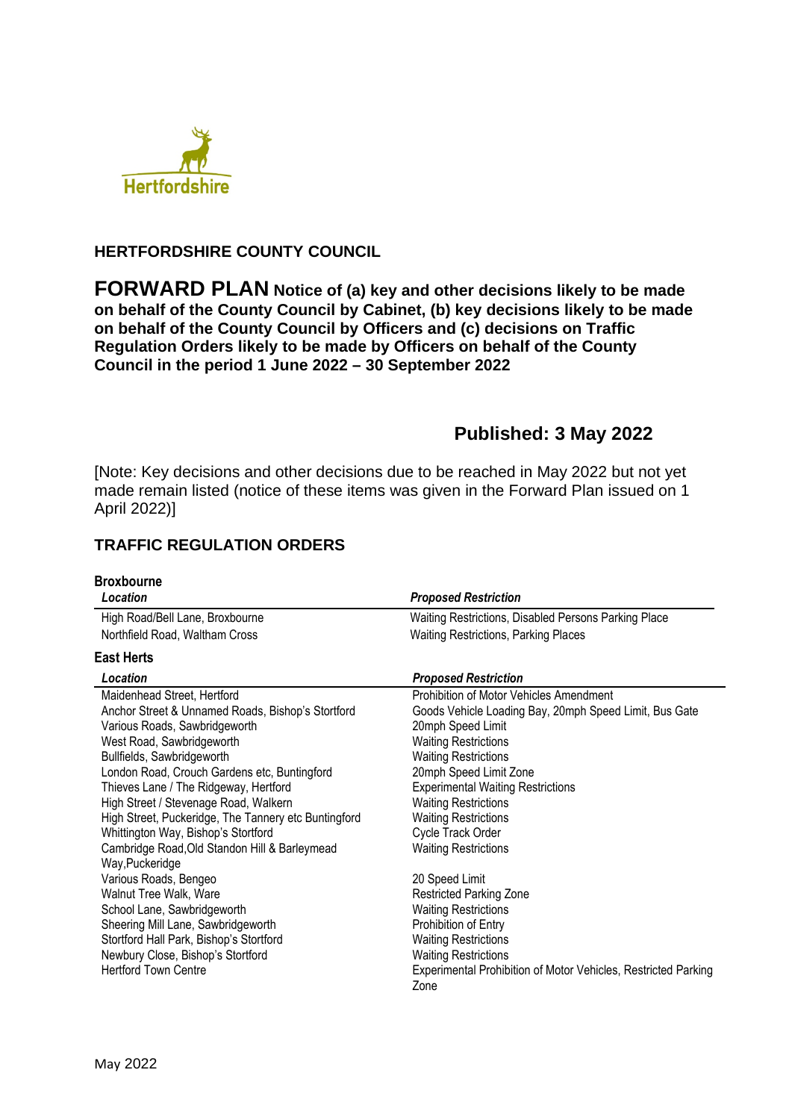

### **HERTFORDSHIRE COUNTY COUNCIL**

**FORWARD PLAN Notice of (a) key and other decisions likely to be made on behalf of the County Council by Cabinet, (b) key decisions likely to be made on behalf of the County Council by Officers and (c) decisions on Traffic Regulation Orders likely to be made by Officers on behalf of the County Council in the period 1 June 2022 – 30 September 2022** 

## **Published: 3 May 2022**

[Note: Key decisions and other decisions due to be reached in May 2022 but not yet made remain listed (notice of these items was given in the Forward Plan issued on 1 April 2022)]

## **TRAFFIC REGULATION ORDERS**

| <b>Broxbourne</b>                                    |                                                                |
|------------------------------------------------------|----------------------------------------------------------------|
| Location                                             | <b>Proposed Restriction</b>                                    |
| High Road/Bell Lane, Broxbourne                      | Waiting Restrictions, Disabled Persons Parking Place           |
| Northfield Road, Waltham Cross                       | <b>Waiting Restrictions, Parking Places</b>                    |
| <b>East Herts</b>                                    |                                                                |
| Location                                             | <b>Proposed Restriction</b>                                    |
| Maidenhead Street, Hertford                          | Prohibition of Motor Vehicles Amendment                        |
| Anchor Street & Unnamed Roads, Bishop's Stortford    | Goods Vehicle Loading Bay, 20mph Speed Limit, Bus Gate         |
| Various Roads, Sawbridgeworth                        | 20mph Speed Limit                                              |
| West Road, Sawbridgeworth                            | <b>Waiting Restrictions</b>                                    |
| Bullfields, Sawbridgeworth                           | <b>Waiting Restrictions</b>                                    |
| London Road, Crouch Gardens etc, Buntingford         | 20mph Speed Limit Zone                                         |
| Thieves Lane / The Ridgeway, Hertford                | <b>Experimental Waiting Restrictions</b>                       |
| High Street / Stevenage Road, Walkern                | <b>Waiting Restrictions</b>                                    |
| High Street, Puckeridge, The Tannery etc Buntingford | <b>Waiting Restrictions</b>                                    |
| Whittington Way, Bishop's Stortford                  | Cycle Track Order                                              |
| Cambridge Road, Old Standon Hill & Barleymead        | <b>Waiting Restrictions</b>                                    |
| Way, Puckeridge                                      |                                                                |
| Various Roads, Bengeo                                | 20 Speed Limit                                                 |
| Walnut Tree Walk, Ware                               | <b>Restricted Parking Zone</b>                                 |
| School Lane, Sawbridgeworth                          | <b>Waiting Restrictions</b>                                    |
| Sheering Mill Lane, Sawbridgeworth                   | Prohibition of Entry                                           |
| Stortford Hall Park, Bishop's Stortford              | <b>Waiting Restrictions</b>                                    |
| Newbury Close, Bishop's Stortford                    | <b>Waiting Restrictions</b>                                    |
| <b>Hertford Town Centre</b>                          | Experimental Prohibition of Motor Vehicles, Restricted Parking |
|                                                      | Zone                                                           |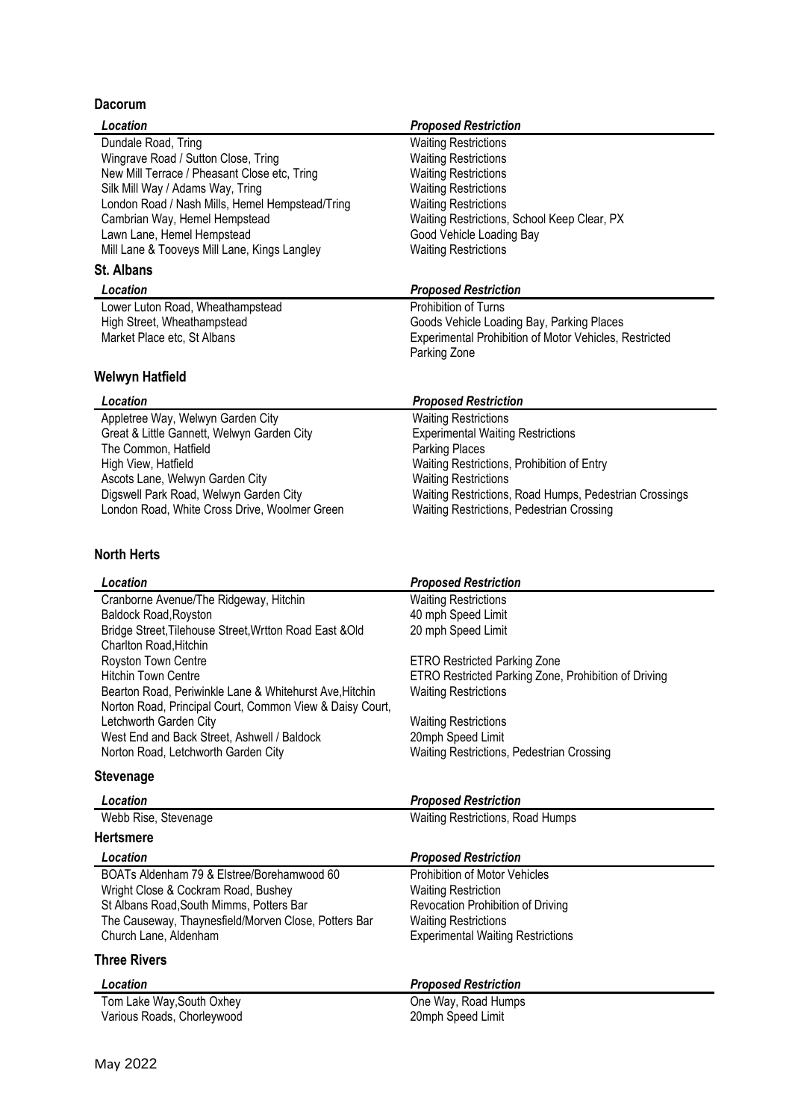#### **Dacorum**

| Davvı um                                                 |                                                        |
|----------------------------------------------------------|--------------------------------------------------------|
| Location                                                 | <b>Proposed Restriction</b>                            |
| Dundale Road, Tring                                      | <b>Waiting Restrictions</b>                            |
| Wingrave Road / Sutton Close, Tring                      | <b>Waiting Restrictions</b>                            |
| New Mill Terrace / Pheasant Close etc, Tring             | <b>Waiting Restrictions</b>                            |
| Silk Mill Way / Adams Way, Tring                         | <b>Waiting Restrictions</b>                            |
| London Road / Nash Mills, Hemel Hempstead/Tring          | <b>Waiting Restrictions</b>                            |
| Cambrian Way, Hemel Hempstead                            | Waiting Restrictions, School Keep Clear, PX            |
| Lawn Lane, Hemel Hempstead                               | Good Vehicle Loading Bay                               |
| Mill Lane & Tooveys Mill Lane, Kings Langley             | <b>Waiting Restrictions</b>                            |
| <b>St. Albans</b>                                        |                                                        |
| Location                                                 | <b>Proposed Restriction</b>                            |
| Lower Luton Road, Wheathampstead                         | Prohibition of Turns                                   |
| High Street, Wheathampstead                              | Goods Vehicle Loading Bay, Parking Places              |
| Market Place etc, St Albans                              | Experimental Prohibition of Motor Vehicles, Restricted |
|                                                          | Parking Zone                                           |
| Welwyn Hatfield                                          |                                                        |
| Location                                                 | <b>Proposed Restriction</b>                            |
| Appletree Way, Welwyn Garden City                        | <b>Waiting Restrictions</b>                            |
| Great & Little Gannett, Welwyn Garden City               | <b>Experimental Waiting Restrictions</b>               |
| The Common, Hatfield                                     | <b>Parking Places</b>                                  |
| High View, Hatfield                                      | Waiting Restrictions, Prohibition of Entry             |
| Ascots Lane, Welwyn Garden City                          | <b>Waiting Restrictions</b>                            |
| Digswell Park Road, Welwyn Garden City                   | Waiting Restrictions, Road Humps, Pedestrian Crossings |
| London Road, White Cross Drive, Woolmer Green            | Waiting Restrictions, Pedestrian Crossing              |
| <b>North Herts</b>                                       |                                                        |
| Location                                                 | <b>Proposed Restriction</b>                            |
| Cranborne Avenue/The Ridgeway, Hitchin                   | <b>Waiting Restrictions</b>                            |
| Baldock Road, Royston                                    | 40 mph Speed Limit                                     |
| Bridge Street, Tilehouse Street, Wrtton Road East & Old  | 20 mph Speed Limit                                     |
| Charlton Road, Hitchin                                   |                                                        |
| Royston Town Centre                                      | <b>ETRO Restricted Parking Zone</b>                    |
| <b>Hitchin Town Centre</b>                               | ETRO Restricted Parking Zone, Prohibition of Driving   |
| Bearton Road, Periwinkle Lane & Whitehurst Ave, Hitchin  | <b>Waiting Restrictions</b>                            |
| Norton Road, Principal Court, Common View & Daisy Court, |                                                        |

Letchworth Garden City Network Charles and Marking Restrictions West End and Back Street, Ashwell / Baldock 20mph Speed Limit<br>Norton Road, Letchworth Garden City Waiting Restrictions **Lettipre Speed Limits**<br>Waiting Restrictions, Pedestrian Crossing

#### **Stevenage**

| Location                                             | <b>Proposed Restriction</b>              |  |
|------------------------------------------------------|------------------------------------------|--|
| Webb Rise, Stevenage                                 | <b>Waiting Restrictions, Road Humps</b>  |  |
| <b>Hertsmere</b>                                     |                                          |  |
| Location                                             | <b>Proposed Restriction</b>              |  |
| BOATs Aldenham 79 & Elstree/Borehamwood 60           | Prohibition of Motor Vehicles            |  |
| Wright Close & Cockram Road, Bushey                  | <b>Waiting Restriction</b>               |  |
| St Albans Road, South Mimms, Potters Bar             | Revocation Prohibition of Driving        |  |
| The Causeway, Thaynesfield/Morven Close, Potters Bar | <b>Waiting Restrictions</b>              |  |
| Church Lane, Aldenham                                | <b>Experimental Waiting Restrictions</b> |  |
| <b>Three Rivers</b>                                  |                                          |  |

| Location                   | <b>Proposed Restriction</b> |
|----------------------------|-----------------------------|
| Tom Lake Way, South Oxhey  | One Way, Road Humps         |
| Various Roads, Chorleywood | 20mph Speed Limit           |